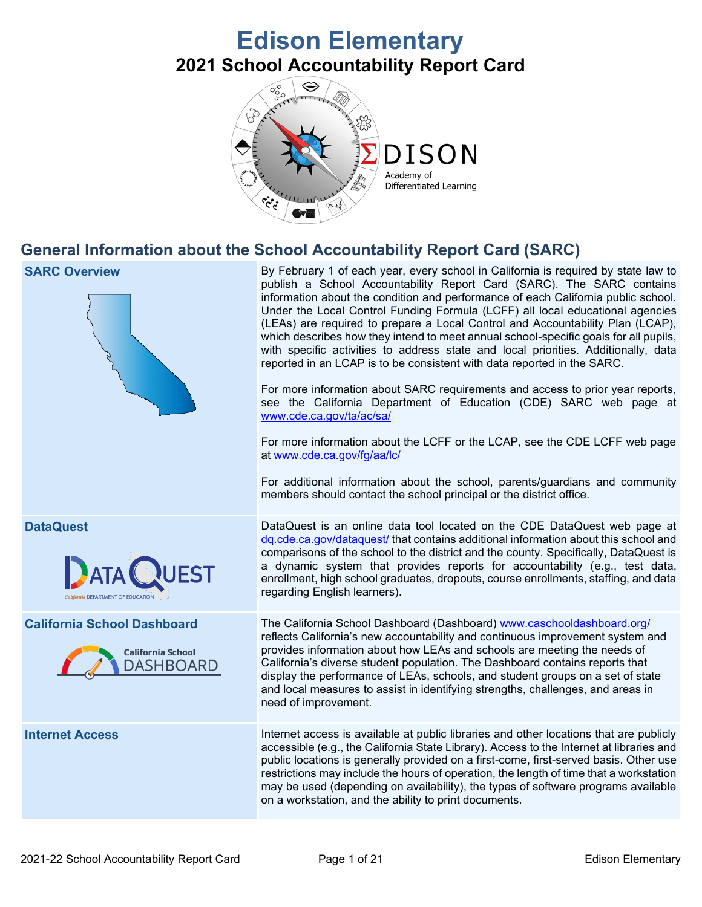# **Edison Elementary 2021 School Accountability Report Card**



# **General Information about the School Accountability Report Card (SARC)**

| <b>SARC Overview</b>                                                        | By February 1 of each year, every school in California is required by state law to<br>publish a School Accountability Report Card (SARC). The SARC contains<br>information about the condition and performance of each California public school.<br>Under the Local Control Funding Formula (LCFF) all local educational agencies<br>(LEAs) are required to prepare a Local Control and Accountability Plan (LCAP),<br>which describes how they intend to meet annual school-specific goals for all pupils,<br>with specific activities to address state and local priorities. Additionally, data<br>reported in an LCAP is to be consistent with data reported in the SARC.<br>For more information about SARC requirements and access to prior year reports,<br>see the California Department of Education (CDE) SARC web page at<br>www.cde.ca.gov/ta/ac/sa/<br>For more information about the LCFF or the LCAP, see the CDE LCFF web page<br>at www.cde.ca.gov/fg/aa/lc/<br>For additional information about the school, parents/guardians and community<br>members should contact the school principal or the district office. |
|-----------------------------------------------------------------------------|-------------------------------------------------------------------------------------------------------------------------------------------------------------------------------------------------------------------------------------------------------------------------------------------------------------------------------------------------------------------------------------------------------------------------------------------------------------------------------------------------------------------------------------------------------------------------------------------------------------------------------------------------------------------------------------------------------------------------------------------------------------------------------------------------------------------------------------------------------------------------------------------------------------------------------------------------------------------------------------------------------------------------------------------------------------------------------------------------------------------------------------|
| <b>DataQuest</b><br>QUEST                                                   | DataQuest is an online data tool located on the CDE DataQuest web page at<br>dq.cde.ca.gov/dataquest/ that contains additional information about this school and<br>comparisons of the school to the district and the county. Specifically, DataQuest is<br>a dynamic system that provides reports for accountability (e.g., test data,<br>enrollment, high school graduates, dropouts, course enrollments, staffing, and data<br>regarding English learners).                                                                                                                                                                                                                                                                                                                                                                                                                                                                                                                                                                                                                                                                      |
| <b>California School Dashboard</b><br><b>California School</b><br>DASHBOARD | The California School Dashboard (Dashboard) www.caschooldashboard.org/<br>reflects California's new accountability and continuous improvement system and<br>provides information about how LEAs and schools are meeting the needs of<br>California's diverse student population. The Dashboard contains reports that<br>display the performance of LEAs, schools, and student groups on a set of state<br>and local measures to assist in identifying strengths, challenges, and areas in<br>need of improvement.                                                                                                                                                                                                                                                                                                                                                                                                                                                                                                                                                                                                                   |
| <b>Internet Access</b>                                                      | Internet access is available at public libraries and other locations that are publicly<br>accessible (e.g., the California State Library). Access to the Internet at libraries and<br>public locations is generally provided on a first-come, first-served basis. Other use<br>restrictions may include the hours of operation, the length of time that a workstation<br>may be used (depending on availability), the types of software programs available<br>on a workstation, and the ability to print documents.                                                                                                                                                                                                                                                                                                                                                                                                                                                                                                                                                                                                                 |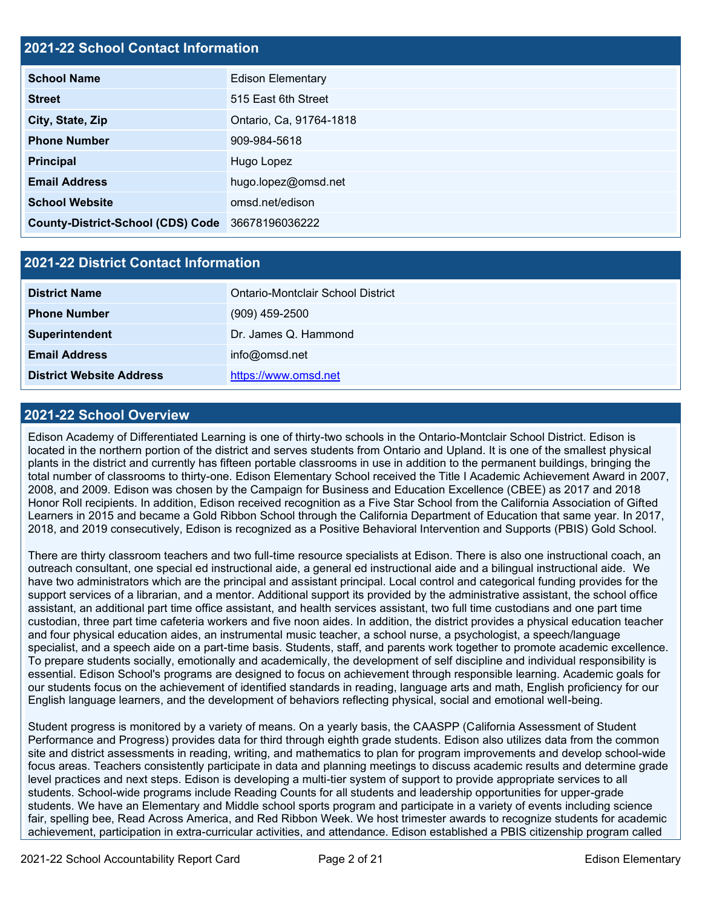#### **2021-22 School Contact Information**

| <b>School Name</b>                               | <b>Edison Elementary</b> |  |  |
|--------------------------------------------------|--------------------------|--|--|
| <b>Street</b>                                    | 515 East 6th Street      |  |  |
| City, State, Zip                                 | Ontario, Ca, 91764-1818  |  |  |
| <b>Phone Number</b>                              | 909-984-5618             |  |  |
| <b>Principal</b>                                 | Hugo Lopez               |  |  |
| <b>Email Address</b>                             | hugo.lopez@omsd.net      |  |  |
| <b>School Website</b>                            | omsd.net/edison          |  |  |
| County-District-School (CDS) Code 36678196036222 |                          |  |  |

#### **2021-22 District Contact Information**

| <b>District Name</b>            | Ontario-Montclair School District |  |  |  |  |
|---------------------------------|-----------------------------------|--|--|--|--|
| <b>Phone Number</b>             | $(909)$ 459-2500                  |  |  |  |  |
| <b>Superintendent</b>           | Dr. James Q. Hammond              |  |  |  |  |
| <b>Email Address</b>            | info@omsd.net                     |  |  |  |  |
| <b>District Website Address</b> | https://www.omsd.net              |  |  |  |  |

#### **2021-22 School Overview**

Edison Academy of Differentiated Learning is one of thirty-two schools in the Ontario-Montclair School District. Edison is located in the northern portion of the district and serves students from Ontario and Upland. It is one of the smallest physical plants in the district and currently has fifteen portable classrooms in use in addition to the permanent buildings, bringing the total number of classrooms to thirty-one. Edison Elementary School received the Title I Academic Achievement Award in 2007, 2008, and 2009. Edison was chosen by the Campaign for Business and Education Excellence (CBEE) as 2017 and 2018 Honor Roll recipients. In addition, Edison received recognition as a Five Star School from the California Association of Gifted Learners in 2015 and became a Gold Ribbon School through the California Department of Education that same year. In 2017, 2018, and 2019 consecutively, Edison is recognized as a Positive Behavioral Intervention and Supports (PBIS) Gold School.

There are thirty classroom teachers and two full-time resource specialists at Edison. There is also one instructional coach, an outreach consultant, one special ed instructional aide, a general ed instructional aide and a bilingual instructional aide. We have two administrators which are the principal and assistant principal. Local control and categorical funding provides for the support services of a librarian, and a mentor. Additional support its provided by the administrative assistant, the school office assistant, an additional part time office assistant, and health services assistant, two full time custodians and one part time custodian, three part time cafeteria workers and five noon aides. In addition, the district provides a physical education teacher and four physical education aides, an instrumental music teacher, a school nurse, a psychologist, a speech/language specialist, and a speech aide on a part-time basis. Students, staff, and parents work together to promote academic excellence. To prepare students socially, emotionally and academically, the development of self discipline and individual responsibility is essential. Edison School's programs are designed to focus on achievement through responsible learning. Academic goals for our students focus on the achievement of identified standards in reading, language arts and math, English proficiency for our English language learners, and the development of behaviors reflecting physical, social and emotional well-being.

Student progress is monitored by a variety of means. On a yearly basis, the CAASPP (California Assessment of Student Performance and Progress) provides data for third through eighth grade students. Edison also utilizes data from the common site and district assessments in reading, writing, and mathematics to plan for program improvements and develop school-wide focus areas. Teachers consistently participate in data and planning meetings to discuss academic results and determine grade level practices and next steps. Edison is developing a multi-tier system of support to provide appropriate services to all students. School-wide programs include Reading Counts for all students and leadership opportunities for upper-grade students. We have an Elementary and Middle school sports program and participate in a variety of events including science fair, spelling bee, Read Across America, and Red Ribbon Week. We host trimester awards to recognize students for academic achievement, participation in extra-curricular activities, and attendance. Edison established a PBIS citizenship program called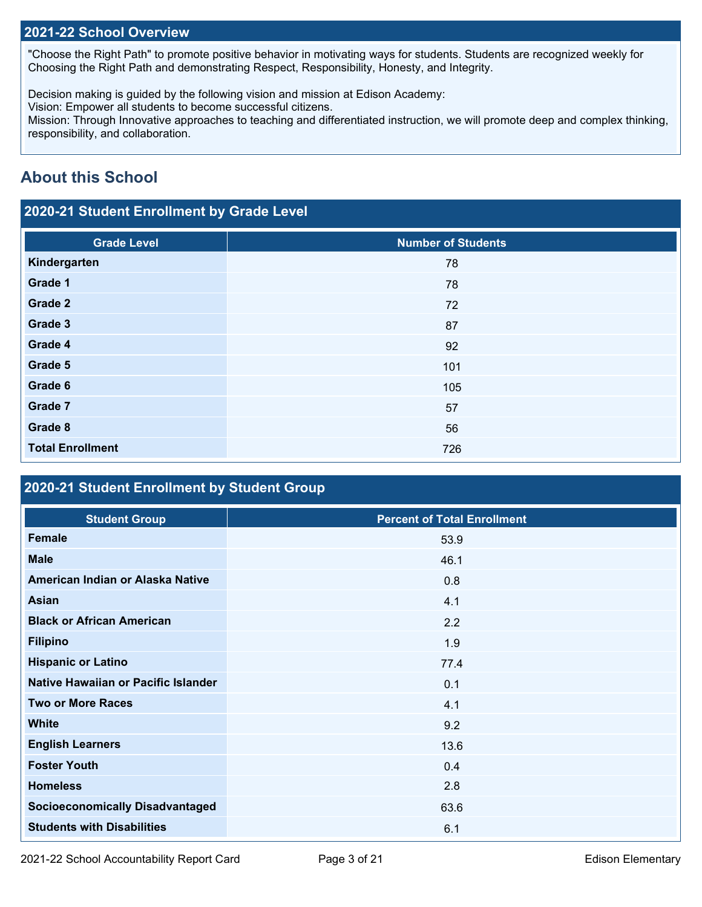#### **2021-22 School Overview**

"Choose the Right Path" to promote positive behavior in motivating ways for students. Students are recognized weekly for Choosing the Right Path and demonstrating Respect, Responsibility, Honesty, and Integrity.

Decision making is guided by the following vision and mission at Edison Academy:

Vision: Empower all students to become successful citizens.

Mission: Through Innovative approaches to teaching and differentiated instruction, we will promote deep and complex thinking, responsibility, and collaboration.

## **About this School**

## **2020-21 Student Enrollment by Grade Level**

| <b>Grade Level</b>      | <b>Number of Students</b> |
|-------------------------|---------------------------|
| Kindergarten            | 78                        |
| Grade 1                 | 78                        |
| Grade 2                 | 72                        |
| Grade 3                 | 87                        |
| Grade 4                 | 92                        |
| Grade 5                 | 101                       |
| Grade 6                 | 105                       |
| Grade 7                 | 57                        |
| Grade 8                 | 56                        |
| <b>Total Enrollment</b> | 726                       |

### **2020-21 Student Enrollment by Student Group**

| <b>Student Group</b>                   | <b>Percent of Total Enrollment</b> |
|----------------------------------------|------------------------------------|
| Female                                 | 53.9                               |
| <b>Male</b>                            | 46.1                               |
| American Indian or Alaska Native       | 0.8                                |
| Asian                                  | 4.1                                |
| <b>Black or African American</b>       | 2.2                                |
| <b>Filipino</b>                        | 1.9                                |
| <b>Hispanic or Latino</b>              | 77.4                               |
| Native Hawaiian or Pacific Islander    | 0.1                                |
| <b>Two or More Races</b>               | 4.1                                |
| <b>White</b>                           | 9.2                                |
| <b>English Learners</b>                | 13.6                               |
| <b>Foster Youth</b>                    | 0.4                                |
| <b>Homeless</b>                        | 2.8                                |
| <b>Socioeconomically Disadvantaged</b> | 63.6                               |
| <b>Students with Disabilities</b>      | 6.1                                |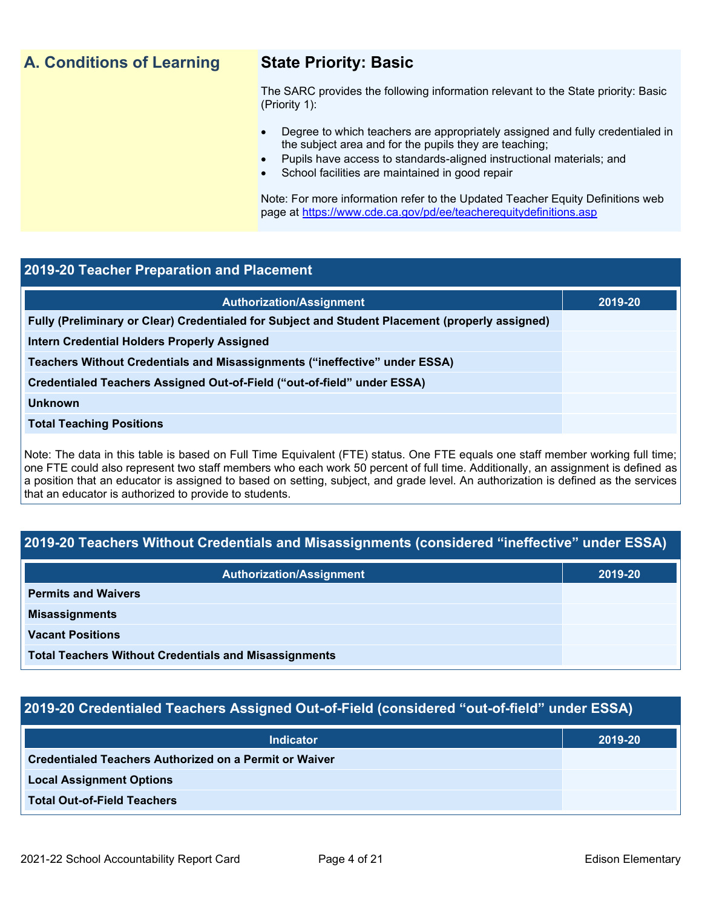## **A. Conditions of Learning State Priority: Basic**

The SARC provides the following information relevant to the State priority: Basic (Priority 1):

- Degree to which teachers are appropriately assigned and fully credentialed in the subject area and for the pupils they are teaching;
- Pupils have access to standards-aligned instructional materials; and
- School facilities are maintained in good repair

Note: For more information refer to the Updated Teacher Equity Definitions web page at<https://www.cde.ca.gov/pd/ee/teacherequitydefinitions.asp>

#### **2019-20 Teacher Preparation and Placement**

| <b>Authorization/Assignment</b>                                                                                                     | 2019-20 |
|-------------------------------------------------------------------------------------------------------------------------------------|---------|
| Fully (Preliminary or Clear) Credentialed for Subject and Student Placement (properly assigned)                                     |         |
| <b>Intern Credential Holders Properly Assigned</b>                                                                                  |         |
| Teachers Without Credentials and Misassignments ("ineffective" under ESSA)                                                          |         |
| Credentialed Teachers Assigned Out-of-Field ("out-of-field" under ESSA)                                                             |         |
| <b>Unknown</b>                                                                                                                      |         |
| <b>Total Teaching Positions</b>                                                                                                     |         |
| Alette The data in this table is haved an Full Time. Family Just (FTF) status. One FTF a musle and ataff members medium full times. |         |

Note: The data in this table is based on Full Time Equivalent (FTE) status. One FTE equals one staff member working full time; one FTE could also represent two staff members who each work 50 percent of full time. Additionally, an assignment is defined as a position that an educator is assigned to based on setting, subject, and grade level. An authorization is defined as the services that an educator is authorized to provide to students.

#### **2019-20 Teachers Without Credentials and Misassignments (considered "ineffective" under ESSA)**

| <b>Authorization/Assignment</b>                              | 2019-20 |
|--------------------------------------------------------------|---------|
| <b>Permits and Waivers</b>                                   |         |
| <b>Misassignments</b>                                        |         |
| <b>Vacant Positions</b>                                      |         |
| <b>Total Teachers Without Credentials and Misassignments</b> |         |

#### **2019-20 Credentialed Teachers Assigned Out-of-Field (considered "out-of-field" under ESSA)**

| <b>Indicator</b>                                              | 2019-20 |
|---------------------------------------------------------------|---------|
| <b>Credentialed Teachers Authorized on a Permit or Waiver</b> |         |
| <b>Local Assignment Options</b>                               |         |
| <b>Total Out-of-Field Teachers</b>                            |         |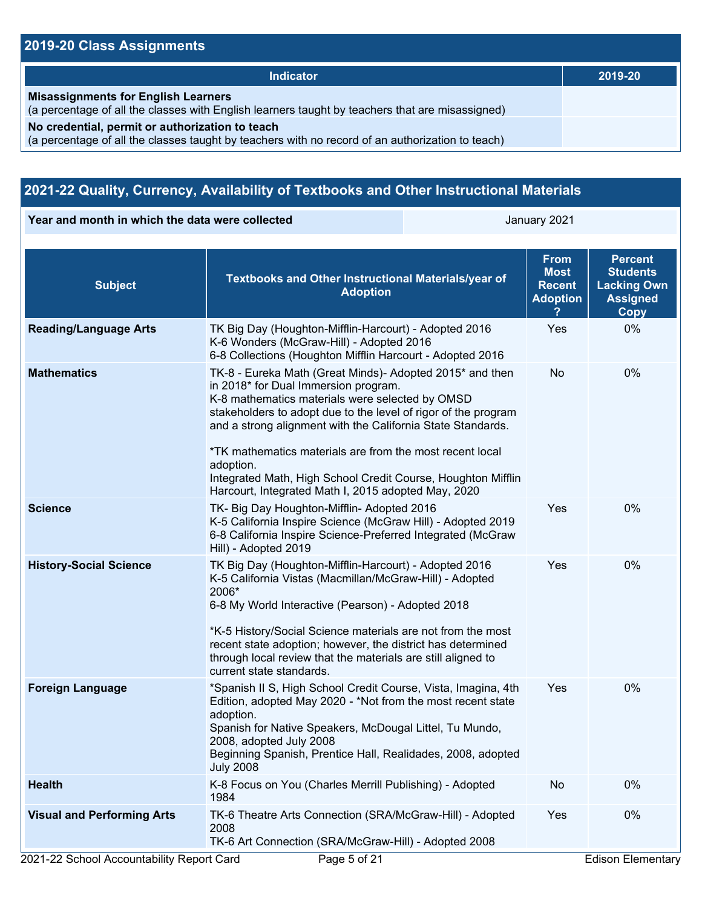### **2019-20 Class Assignments**

| Indicator                                                                                                                                           | 2019-20 |
|-----------------------------------------------------------------------------------------------------------------------------------------------------|---------|
| <b>Misassignments for English Learners</b><br>(a percentage of all the classes with English learners taught by teachers that are misassigned)       |         |
| No credential, permit or authorization to teach<br>(a percentage of all the classes taught by teachers with no record of an authorization to teach) |         |

### **2021-22 Quality, Currency, Availability of Textbooks and Other Instructional Materials**

**Year and month in which the data were collected** January 2021

| <b>Subject</b>                    | Textbooks and Other Instructional Materials/year of<br><b>Adoption</b>                                                                                                                                                                                                                                                                                                                                                                                                               | <b>From</b><br><b>Most</b><br><b>Recent</b><br><b>Adoption</b> | <b>Percent</b><br><b>Students</b><br><b>Lacking Own</b><br><b>Assigned</b><br><b>Copy</b> |
|-----------------------------------|--------------------------------------------------------------------------------------------------------------------------------------------------------------------------------------------------------------------------------------------------------------------------------------------------------------------------------------------------------------------------------------------------------------------------------------------------------------------------------------|----------------------------------------------------------------|-------------------------------------------------------------------------------------------|
| <b>Reading/Language Arts</b>      | TK Big Day (Houghton-Mifflin-Harcourt) - Adopted 2016<br>K-6 Wonders (McGraw-Hill) - Adopted 2016<br>6-8 Collections (Houghton Mifflin Harcourt - Adopted 2016                                                                                                                                                                                                                                                                                                                       | Yes                                                            | 0%                                                                                        |
| <b>Mathematics</b>                | TK-8 - Eureka Math (Great Minds)- Adopted 2015* and then<br>in 2018* for Dual Immersion program.<br>K-8 mathematics materials were selected by OMSD<br>stakeholders to adopt due to the level of rigor of the program<br>and a strong alignment with the California State Standards.<br>*TK mathematics materials are from the most recent local<br>adoption.<br>Integrated Math, High School Credit Course, Houghton Mifflin<br>Harcourt, Integrated Math I, 2015 adopted May, 2020 | <b>No</b>                                                      | 0%                                                                                        |
| <b>Science</b>                    | TK- Big Day Houghton-Mifflin- Adopted 2016<br>K-5 California Inspire Science (McGraw Hill) - Adopted 2019<br>6-8 California Inspire Science-Preferred Integrated (McGraw<br>Hill) - Adopted 2019                                                                                                                                                                                                                                                                                     | Yes                                                            | 0%                                                                                        |
| <b>History-Social Science</b>     | TK Big Day (Houghton-Mifflin-Harcourt) - Adopted 2016<br>K-5 California Vistas (Macmillan/McGraw-Hill) - Adopted<br>2006*<br>6-8 My World Interactive (Pearson) - Adopted 2018<br>*K-5 History/Social Science materials are not from the most<br>recent state adoption; however, the district has determined<br>through local review that the materials are still aligned to<br>current state standards.                                                                             | Yes                                                            | 0%                                                                                        |
| <b>Foreign Language</b>           | *Spanish II S, High School Credit Course, Vista, Imagina, 4th<br>Edition, adopted May 2020 - *Not from the most recent state<br>adoption.<br>Spanish for Native Speakers, McDougal Littel, Tu Mundo,<br>2008, adopted July 2008<br>Beginning Spanish, Prentice Hall, Realidades, 2008, adopted<br><b>July 2008</b>                                                                                                                                                                   | Yes                                                            | 0%                                                                                        |
| <b>Health</b>                     | K-8 Focus on You (Charles Merrill Publishing) - Adopted<br>1984                                                                                                                                                                                                                                                                                                                                                                                                                      | No                                                             | 0%                                                                                        |
| <b>Visual and Performing Arts</b> | TK-6 Theatre Arts Connection (SRA/McGraw-Hill) - Adopted<br>2008<br>TK-6 Art Connection (SRA/McGraw-Hill) - Adopted 2008                                                                                                                                                                                                                                                                                                                                                             | Yes                                                            | 0%                                                                                        |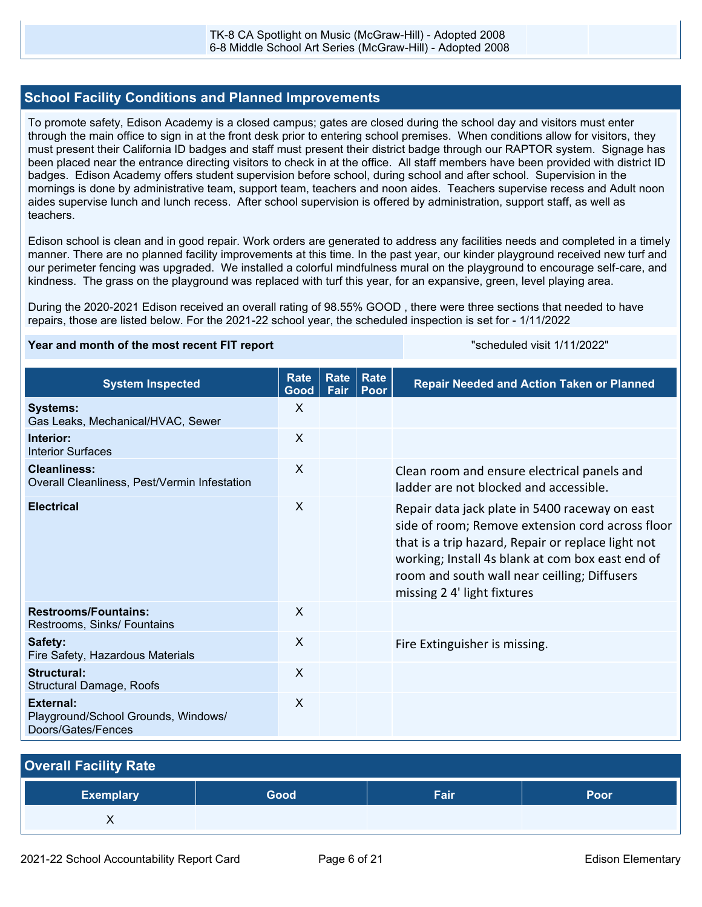#### **School Facility Conditions and Planned Improvements**

To promote safety, Edison Academy is a closed campus; gates are closed during the school day and visitors must enter through the main office to sign in at the front desk prior to entering school premises. When conditions allow for visitors, they must present their California ID badges and staff must present their district badge through our RAPTOR system. Signage has been placed near the entrance directing visitors to check in at the office. All staff members have been provided with district ID badges. Edison Academy offers student supervision before school, during school and after school. Supervision in the mornings is done by administrative team, support team, teachers and noon aides. Teachers supervise recess and Adult noon aides supervise lunch and lunch recess. After school supervision is offered by administration, support staff, as well as teachers.

Edison school is clean and in good repair. Work orders are generated to address any facilities needs and completed in a timely manner. There are no planned facility improvements at this time. In the past year, our kinder playground received new turf and our perimeter fencing was upgraded. We installed a colorful mindfulness mural on the playground to encourage self-care, and kindness. The grass on the playground was replaced with turf this year, for an expansive, green, level playing area.

During the 2020-2021 Edison received an overall rating of 98.55% GOOD , there were three sections that needed to have repairs, those are listed below. For the 2021-22 school year, the scheduled inspection is set for - 1/11/2022

#### **Year and month of the most recent FIT report** Number 2001 12022<sup>"</sup> scheduled visit 1/11/2022"

| <b>System Inspected</b>                                                | <b>Rate</b><br>Good | Rate<br>Fair | Rate<br>Poor | <b>Repair Needed and Action Taken or Planned</b>                                                                                                                                                                                                                                           |
|------------------------------------------------------------------------|---------------------|--------------|--------------|--------------------------------------------------------------------------------------------------------------------------------------------------------------------------------------------------------------------------------------------------------------------------------------------|
| <b>Systems:</b><br>Gas Leaks, Mechanical/HVAC, Sewer                   | $\mathsf{X}$        |              |              |                                                                                                                                                                                                                                                                                            |
| Interior:<br><b>Interior Surfaces</b>                                  | X                   |              |              |                                                                                                                                                                                                                                                                                            |
| <b>Cleanliness:</b><br>Overall Cleanliness, Pest/Vermin Infestation    | $\mathsf{x}$        |              |              | Clean room and ensure electrical panels and<br>ladder are not blocked and accessible.                                                                                                                                                                                                      |
| <b>Electrical</b>                                                      | $\mathsf{X}$        |              |              | Repair data jack plate in 5400 raceway on east<br>side of room; Remove extension cord across floor<br>that is a trip hazard, Repair or replace light not<br>working; Install 4s blank at com box east end of<br>room and south wall near ceilling; Diffusers<br>missing 24' light fixtures |
| <b>Restrooms/Fountains:</b><br>Restrooms, Sinks/ Fountains             | $\mathsf{X}$        |              |              |                                                                                                                                                                                                                                                                                            |
| Safety:<br>Fire Safety, Hazardous Materials                            | $\mathsf{X}$        |              |              | Fire Extinguisher is missing.                                                                                                                                                                                                                                                              |
| Structural:<br><b>Structural Damage, Roofs</b>                         | $\mathsf{X}$        |              |              |                                                                                                                                                                                                                                                                                            |
| External:<br>Playground/School Grounds, Windows/<br>Doors/Gates/Fences | $\mathsf{X}$        |              |              |                                                                                                                                                                                                                                                                                            |

| <b>Overall Facility Rate</b> |      |      |      |  |  |  |
|------------------------------|------|------|------|--|--|--|
| <b>Exemplary</b>             | Good | Fair | Poor |  |  |  |
|                              |      |      |      |  |  |  |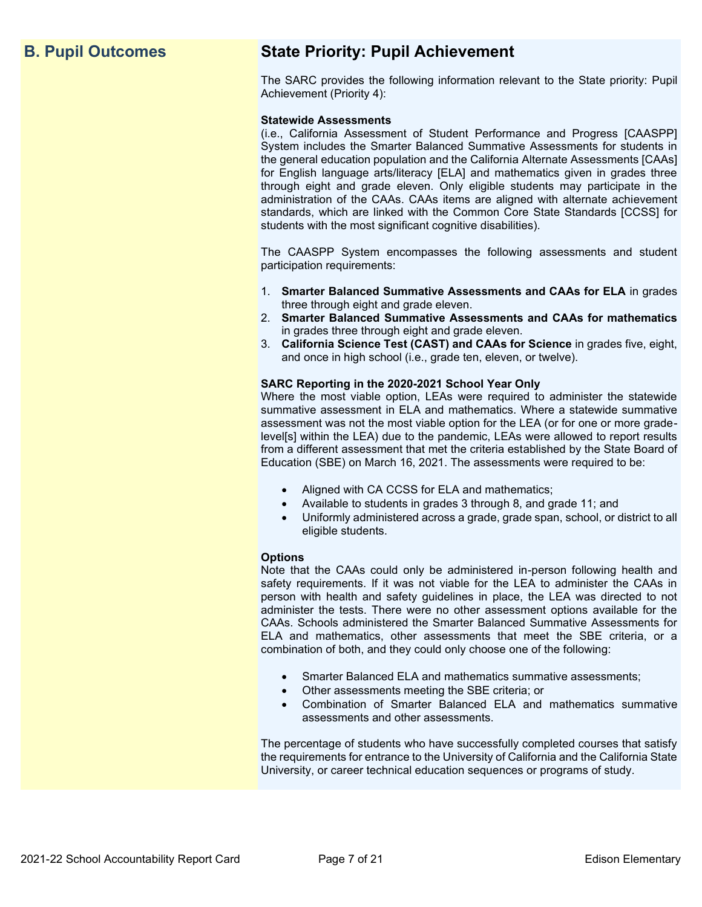## **B. Pupil Outcomes State Priority: Pupil Achievement**

The SARC provides the following information relevant to the State priority: Pupil Achievement (Priority 4):

#### **Statewide Assessments**

(i.e., California Assessment of Student Performance and Progress [CAASPP] System includes the Smarter Balanced Summative Assessments for students in the general education population and the California Alternate Assessments [CAAs] for English language arts/literacy [ELA] and mathematics given in grades three through eight and grade eleven. Only eligible students may participate in the administration of the CAAs. CAAs items are aligned with alternate achievement standards, which are linked with the Common Core State Standards [CCSS] for students with the most significant cognitive disabilities).

The CAASPP System encompasses the following assessments and student participation requirements:

- 1. **Smarter Balanced Summative Assessments and CAAs for ELA** in grades three through eight and grade eleven.
- 2. **Smarter Balanced Summative Assessments and CAAs for mathematics** in grades three through eight and grade eleven.
- 3. **California Science Test (CAST) and CAAs for Science** in grades five, eight, and once in high school (i.e., grade ten, eleven, or twelve).

#### **SARC Reporting in the 2020-2021 School Year Only**

Where the most viable option, LEAs were required to administer the statewide summative assessment in ELA and mathematics. Where a statewide summative assessment was not the most viable option for the LEA (or for one or more gradelevel[s] within the LEA) due to the pandemic, LEAs were allowed to report results from a different assessment that met the criteria established by the State Board of Education (SBE) on March 16, 2021. The assessments were required to be:

- Aligned with CA CCSS for ELA and mathematics;
- Available to students in grades 3 through 8, and grade 11; and
- Uniformly administered across a grade, grade span, school, or district to all eligible students.

#### **Options**

Note that the CAAs could only be administered in-person following health and safety requirements. If it was not viable for the LEA to administer the CAAs in person with health and safety guidelines in place, the LEA was directed to not administer the tests. There were no other assessment options available for the CAAs. Schools administered the Smarter Balanced Summative Assessments for ELA and mathematics, other assessments that meet the SBE criteria, or a combination of both, and they could only choose one of the following:

- Smarter Balanced ELA and mathematics summative assessments;
- Other assessments meeting the SBE criteria; or
- Combination of Smarter Balanced ELA and mathematics summative assessments and other assessments.

The percentage of students who have successfully completed courses that satisfy the requirements for entrance to the University of California and the California State University, or career technical education sequences or programs of study.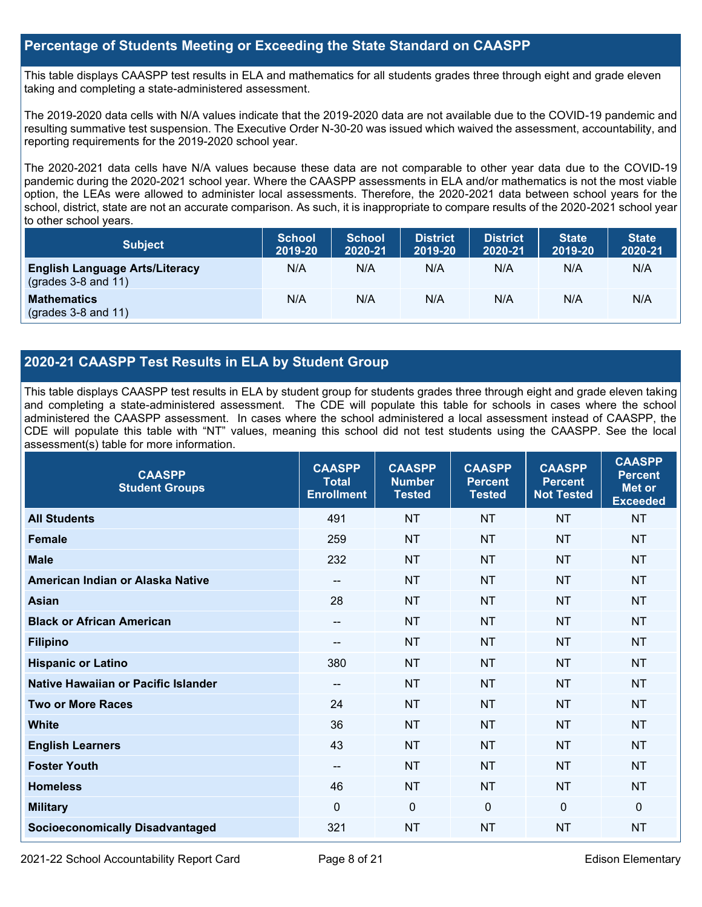#### **Percentage of Students Meeting or Exceeding the State Standard on CAASPP**

This table displays CAASPP test results in ELA and mathematics for all students grades three through eight and grade eleven taking and completing a state-administered assessment.

The 2019-2020 data cells with N/A values indicate that the 2019-2020 data are not available due to the COVID-19 pandemic and resulting summative test suspension. The Executive Order N-30-20 was issued which waived the assessment, accountability, and reporting requirements for the 2019-2020 school year.

The 2020-2021 data cells have N/A values because these data are not comparable to other year data due to the COVID-19 pandemic during the 2020-2021 school year. Where the CAASPP assessments in ELA and/or mathematics is not the most viable option, the LEAs were allowed to administer local assessments. Therefore, the 2020-2021 data between school years for the school, district, state are not an accurate comparison. As such, it is inappropriate to compare results of the 2020-2021 school year to other school years.

| <b>Subject</b>                                                       | <b>School</b><br>2019-20 | <b>School</b><br>2020-21 | <b>District</b><br>2019-20 | <b>District</b><br>2020-21 | <b>State</b><br>2019-20 | <b>State</b><br>2020-21 |
|----------------------------------------------------------------------|--------------------------|--------------------------|----------------------------|----------------------------|-------------------------|-------------------------|
| <b>English Language Arts/Literacy</b><br>$\left($ grades 3-8 and 11) | N/A                      | N/A                      | N/A                        | N/A                        | N/A                     | N/A                     |
| <b>Mathematics</b><br>$(grades 3-8 and 11)$                          | N/A                      | N/A                      | N/A                        | N/A                        | N/A                     | N/A                     |

#### **2020-21 CAASPP Test Results in ELA by Student Group**

This table displays CAASPP test results in ELA by student group for students grades three through eight and grade eleven taking and completing a state-administered assessment. The CDE will populate this table for schools in cases where the school administered the CAASPP assessment. In cases where the school administered a local assessment instead of CAASPP, the CDE will populate this table with "NT" values, meaning this school did not test students using the CAASPP. See the local assessment(s) table for more information.

| <b>CAASPP</b><br><b>Student Groups</b> | <b>CAASPP</b><br><b>Total</b><br><b>Enrollment</b> | <b>CAASPP</b><br><b>Number</b><br><b>Tested</b> | <b>CAASPP</b><br><b>Percent</b><br><b>Tested</b> | <b>CAASPP</b><br><b>Percent</b><br><b>Not Tested</b> | <b>CAASPP</b><br><b>Percent</b><br><b>Met or</b><br><b>Exceeded</b> |
|----------------------------------------|----------------------------------------------------|-------------------------------------------------|--------------------------------------------------|------------------------------------------------------|---------------------------------------------------------------------|
| <b>All Students</b>                    | 491                                                | <b>NT</b>                                       | <b>NT</b>                                        | <b>NT</b>                                            | <b>NT</b>                                                           |
| <b>Female</b>                          | 259                                                | <b>NT</b>                                       | <b>NT</b>                                        | <b>NT</b>                                            | <b>NT</b>                                                           |
| <b>Male</b>                            | 232                                                | <b>NT</b>                                       | <b>NT</b>                                        | <b>NT</b>                                            | <b>NT</b>                                                           |
| American Indian or Alaska Native       | --                                                 | <b>NT</b>                                       | <b>NT</b>                                        | <b>NT</b>                                            | <b>NT</b>                                                           |
| <b>Asian</b>                           | 28                                                 | <b>NT</b>                                       | <b>NT</b>                                        | <b>NT</b>                                            | <b>NT</b>                                                           |
| <b>Black or African American</b>       | $\qquad \qquad -$                                  | <b>NT</b>                                       | <b>NT</b>                                        | <b>NT</b>                                            | <b>NT</b>                                                           |
| <b>Filipino</b>                        | --                                                 | <b>NT</b>                                       | <b>NT</b>                                        | <b>NT</b>                                            | <b>NT</b>                                                           |
| <b>Hispanic or Latino</b>              | 380                                                | <b>NT</b>                                       | <b>NT</b>                                        | <b>NT</b>                                            | <b>NT</b>                                                           |
| Native Hawaiian or Pacific Islander    | $\qquad \qquad -$                                  | <b>NT</b>                                       | <b>NT</b>                                        | <b>NT</b>                                            | <b>NT</b>                                                           |
| <b>Two or More Races</b>               | 24                                                 | <b>NT</b>                                       | <b>NT</b>                                        | <b>NT</b>                                            | <b>NT</b>                                                           |
| <b>White</b>                           | 36                                                 | <b>NT</b>                                       | <b>NT</b>                                        | <b>NT</b>                                            | <b>NT</b>                                                           |
| <b>English Learners</b>                | 43                                                 | <b>NT</b>                                       | <b>NT</b>                                        | <b>NT</b>                                            | <b>NT</b>                                                           |
| <b>Foster Youth</b>                    | $\qquad \qquad -$                                  | <b>NT</b>                                       | <b>NT</b>                                        | <b>NT</b>                                            | <b>NT</b>                                                           |
| <b>Homeless</b>                        | 46                                                 | <b>NT</b>                                       | <b>NT</b>                                        | <b>NT</b>                                            | <b>NT</b>                                                           |
| <b>Military</b>                        | $\Omega$                                           | $\mathbf 0$                                     | $\mathbf 0$                                      | $\mathbf 0$                                          | 0                                                                   |
| <b>Socioeconomically Disadvantaged</b> | 321                                                | <b>NT</b>                                       | <b>NT</b>                                        | <b>NT</b>                                            | <b>NT</b>                                                           |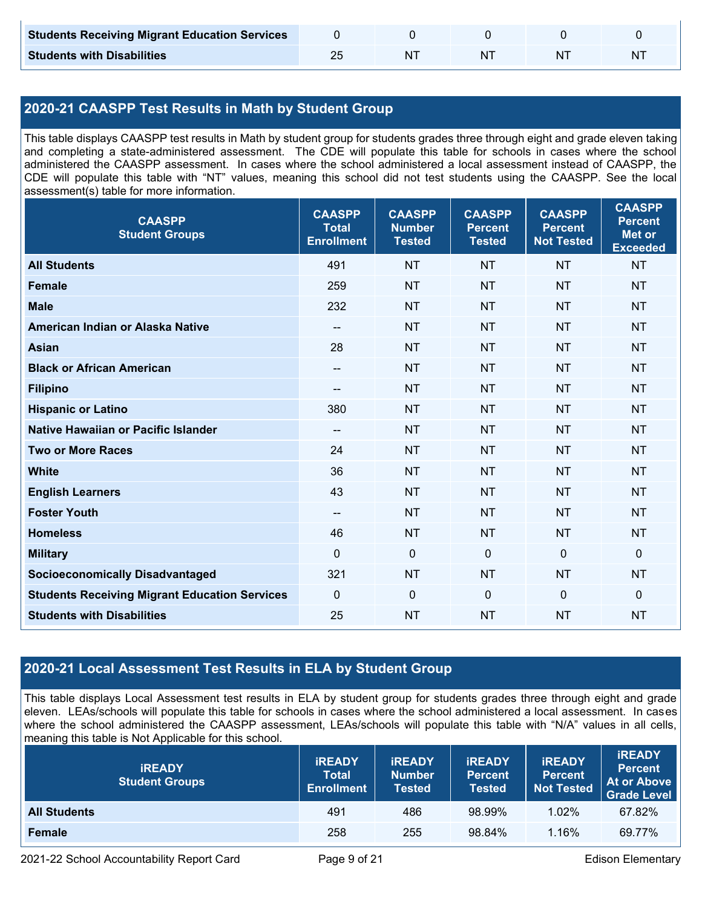| <b>Students Receiving Migrant Education Services</b> |  |    |   |
|------------------------------------------------------|--|----|---|
| <b>Students with Disabilities</b>                    |  | ΝI | N |

### **2020-21 CAASPP Test Results in Math by Student Group**

This table displays CAASPP test results in Math by student group for students grades three through eight and grade eleven taking and completing a state-administered assessment. The CDE will populate this table for schools in cases where the school administered the CAASPP assessment. In cases where the school administered a local assessment instead of CAASPP, the CDE will populate this table with "NT" values, meaning this school did not test students using the CAASPP. See the local assessment(s) table for more information.

| <b>CAASPP</b><br><b>Student Groups</b>               | <b>CAASPP</b><br><b>Total</b><br><b>Enrollment</b> | <b>CAASPP</b><br><b>Number</b><br><b>Tested</b> | <b>CAASPP</b><br><b>Percent</b><br><b>Tested</b> | <b>CAASPP</b><br><b>Percent</b><br><b>Not Tested</b> | <b>CAASPP</b><br><b>Percent</b><br><b>Met or</b><br><b>Exceeded</b> |
|------------------------------------------------------|----------------------------------------------------|-------------------------------------------------|--------------------------------------------------|------------------------------------------------------|---------------------------------------------------------------------|
| <b>All Students</b>                                  | 491                                                | <b>NT</b>                                       | <b>NT</b>                                        | <b>NT</b>                                            | <b>NT</b>                                                           |
| <b>Female</b>                                        | 259                                                | <b>NT</b>                                       | <b>NT</b>                                        | <b>NT</b>                                            | <b>NT</b>                                                           |
| <b>Male</b>                                          | 232                                                | <b>NT</b>                                       | <b>NT</b>                                        | <b>NT</b>                                            | <b>NT</b>                                                           |
| American Indian or Alaska Native                     | $\overline{\phantom{a}}$                           | <b>NT</b>                                       | <b>NT</b>                                        | <b>NT</b>                                            | <b>NT</b>                                                           |
| <b>Asian</b>                                         | 28                                                 | <b>NT</b>                                       | <b>NT</b>                                        | <b>NT</b>                                            | <b>NT</b>                                                           |
| <b>Black or African American</b>                     | $\hspace{0.05cm}$ – $\hspace{0.05cm}$              | <b>NT</b>                                       | <b>NT</b>                                        | <b>NT</b>                                            | <b>NT</b>                                                           |
| <b>Filipino</b>                                      | --                                                 | <b>NT</b>                                       | <b>NT</b>                                        | <b>NT</b>                                            | <b>NT</b>                                                           |
| <b>Hispanic or Latino</b>                            | 380                                                | <b>NT</b>                                       | <b>NT</b>                                        | <b>NT</b>                                            | <b>NT</b>                                                           |
| <b>Native Hawaiian or Pacific Islander</b>           | $\hspace{0.05cm}$ – $\hspace{0.05cm}$              | <b>NT</b>                                       | <b>NT</b>                                        | <b>NT</b>                                            | <b>NT</b>                                                           |
| <b>Two or More Races</b>                             | 24                                                 | <b>NT</b>                                       | <b>NT</b>                                        | <b>NT</b>                                            | <b>NT</b>                                                           |
| <b>White</b>                                         | 36                                                 | <b>NT</b>                                       | <b>NT</b>                                        | <b>NT</b>                                            | <b>NT</b>                                                           |
| <b>English Learners</b>                              | 43                                                 | <b>NT</b>                                       | <b>NT</b>                                        | <b>NT</b>                                            | <b>NT</b>                                                           |
| <b>Foster Youth</b>                                  | $\overline{\phantom{a}}$                           | <b>NT</b>                                       | <b>NT</b>                                        | <b>NT</b>                                            | <b>NT</b>                                                           |
| <b>Homeless</b>                                      | 46                                                 | <b>NT</b>                                       | <b>NT</b>                                        | <b>NT</b>                                            | <b>NT</b>                                                           |
| <b>Military</b>                                      | $\mathbf{0}$                                       | $\mathbf 0$                                     | $\mathbf 0$                                      | $\mathbf 0$                                          | $\mathbf 0$                                                         |
| <b>Socioeconomically Disadvantaged</b>               | 321                                                | <b>NT</b>                                       | <b>NT</b>                                        | <b>NT</b>                                            | <b>NT</b>                                                           |
| <b>Students Receiving Migrant Education Services</b> | $\mathbf 0$                                        | $\mathbf 0$                                     | $\mathbf 0$                                      | $\mathbf 0$                                          | $\mathbf 0$                                                         |
| <b>Students with Disabilities</b>                    | 25                                                 | <b>NT</b>                                       | <b>NT</b>                                        | <b>NT</b>                                            | <b>NT</b>                                                           |

### **2020-21 Local Assessment Test Results in ELA by Student Group**

This table displays Local Assessment test results in ELA by student group for students grades three through eight and grade eleven. LEAs/schools will populate this table for schools in cases where the school administered a local assessment. In cases where the school administered the CAASPP assessment, LEAs/schools will populate this table with "N/A" values in all cells, meaning this table is Not Applicable for this school.

| <b>IREADY</b><br><b>Student Groups</b> | <b>IREADY</b><br><b>Total</b><br><b>Enrollment</b> | <b>IREADY</b><br><b>Number</b><br><b>Tested</b> | <b>IREADY</b><br><b>Percent</b><br>Tested | <b>IREADY</b><br><b>Percent</b><br><b>Not Tested</b> | <b>iREADY</b><br><b>Percent</b><br>At or Above<br><b>Grade Level</b> |
|----------------------------------------|----------------------------------------------------|-------------------------------------------------|-------------------------------------------|------------------------------------------------------|----------------------------------------------------------------------|
| <b>All Students</b>                    | 491                                                | 486                                             | 98.99%                                    | 1.02%                                                | 67.82%                                                               |
| <b>Female</b>                          | 258                                                | 255                                             | 98.84%                                    | 1.16%                                                | 69.77%                                                               |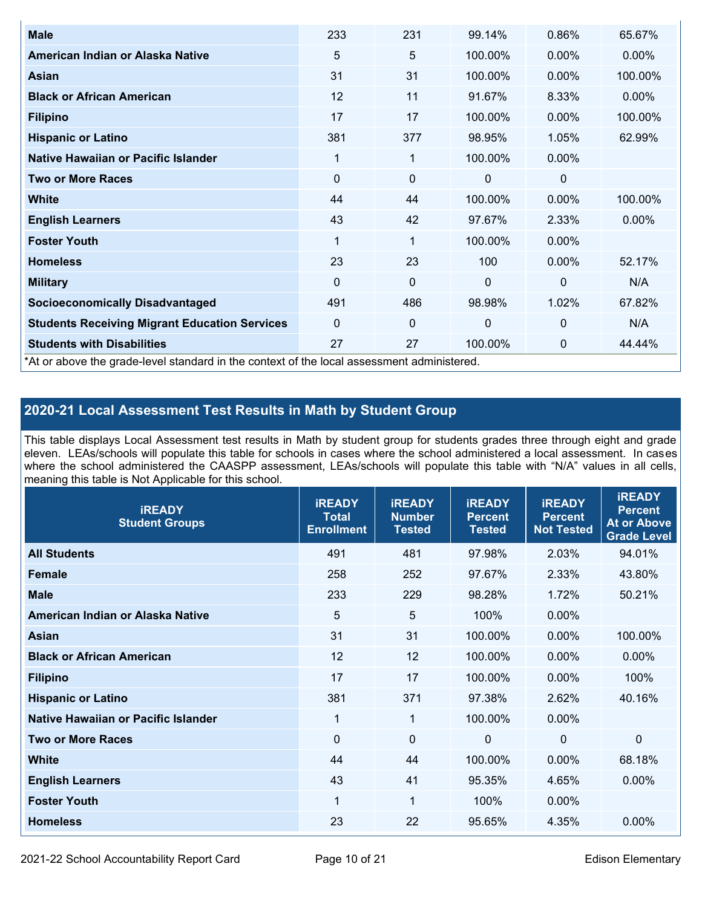| <b>Male</b>                                                                                | 233      | 231         | 99.14%   | 0.86%        | 65.67%   |
|--------------------------------------------------------------------------------------------|----------|-------------|----------|--------------|----------|
| American Indian or Alaska Native                                                           | 5        | 5           | 100.00%  | $0.00\%$     | 0.00%    |
| Asian                                                                                      | 31       | 31          | 100.00%  | $0.00\%$     | 100.00%  |
| <b>Black or African American</b>                                                           | 12       | 11          | 91.67%   | 8.33%        | 0.00%    |
| <b>Filipino</b>                                                                            | 17       | 17          | 100.00%  | 0.00%        | 100.00%  |
| <b>Hispanic or Latino</b>                                                                  | 381      | 377         | 98.95%   | 1.05%        | 62.99%   |
| Native Hawaiian or Pacific Islander                                                        | 1        | 1           | 100.00%  | $0.00\%$     |          |
| <b>Two or More Races</b>                                                                   | 0        | 0           | 0        | 0            |          |
| <b>White</b>                                                                               | 44       | 44          | 100.00%  | 0.00%        | 100.00%  |
| <b>English Learners</b>                                                                    | 43       | 42          | 97.67%   | 2.33%        | $0.00\%$ |
| <b>Foster Youth</b>                                                                        | 1        | 1           | 100.00%  | $0.00\%$     |          |
| <b>Homeless</b>                                                                            | 23       | 23          | 100      | 0.00%        | 52.17%   |
| <b>Military</b>                                                                            | $\Omega$ | $\mathbf 0$ | $\Omega$ | $\mathbf{0}$ | N/A      |
| <b>Socioeconomically Disadvantaged</b>                                                     | 491      | 486         | 98.98%   | 1.02%        | 67.82%   |
| <b>Students Receiving Migrant Education Services</b>                                       | 0        | 0           | 0        | $\mathbf{0}$ | N/A      |
| <b>Students with Disabilities</b>                                                          | 27       | 27          | 100.00%  | 0            | 44.44%   |
| *At or above the grade-level standard in the context of the local assessment administered. |          |             |          |              |          |

### **2020-21 Local Assessment Test Results in Math by Student Group**

This table displays Local Assessment test results in Math by student group for students grades three through eight and grade eleven. LEAs/schools will populate this table for schools in cases where the school administered a local assessment. In cases where the school administered the CAASPP assessment, LEAs/schools will populate this table with "N/A" values in all cells, meaning this table is Not Applicable for this school.

| <b>iREADY</b><br><b>Student Groups</b> | <b>IREADY</b><br><b>Total</b><br><b>Enrollment</b> | <b>iREADY</b><br><b>Number</b><br><b>Tested</b> | <b>iREADY</b><br><b>Percent</b><br><b>Tested</b> | <b>IREADY</b><br><b>Percent</b><br><b>Not Tested</b> | <b>IREADY</b><br><b>Percent</b><br><b>At or Above</b><br><b>Grade Level</b> |
|----------------------------------------|----------------------------------------------------|-------------------------------------------------|--------------------------------------------------|------------------------------------------------------|-----------------------------------------------------------------------------|
| <b>All Students</b>                    | 491                                                | 481                                             | 97.98%                                           | 2.03%                                                | 94.01%                                                                      |
| <b>Female</b>                          | 258                                                | 252                                             | 97.67%                                           | 2.33%                                                | 43.80%                                                                      |
| <b>Male</b>                            | 233                                                | 229                                             | 98.28%                                           | 1.72%                                                | 50.21%                                                                      |
| American Indian or Alaska Native       | 5                                                  | 5                                               | 100%                                             | 0.00%                                                |                                                                             |
| <b>Asian</b>                           | 31                                                 | 31                                              | 100.00%                                          | 0.00%                                                | 100.00%                                                                     |
| <b>Black or African American</b>       | 12                                                 | 12                                              | 100.00%                                          | 0.00%                                                | $0.00\%$                                                                    |
| <b>Filipino</b>                        | 17                                                 | 17                                              | 100.00%                                          | 0.00%                                                | 100%                                                                        |
| <b>Hispanic or Latino</b>              | 381                                                | 371                                             | 97.38%                                           | 2.62%                                                | 40.16%                                                                      |
| Native Hawaiian or Pacific Islander    | 1                                                  | 1                                               | 100.00%                                          | 0.00%                                                |                                                                             |
| <b>Two or More Races</b>               | 0                                                  | $\mathbf 0$                                     | $\Omega$                                         | $\mathbf 0$                                          | 0                                                                           |
| <b>White</b>                           | 44                                                 | 44                                              | 100.00%                                          | 0.00%                                                | 68.18%                                                                      |
| <b>English Learners</b>                | 43                                                 | 41                                              | 95.35%                                           | 4.65%                                                | 0.00%                                                                       |
| <b>Foster Youth</b>                    | 1                                                  | 1                                               | 100%                                             | $0.00\%$                                             |                                                                             |
| <b>Homeless</b>                        | 23                                                 | 22                                              | 95.65%                                           | 4.35%                                                | 0.00%                                                                       |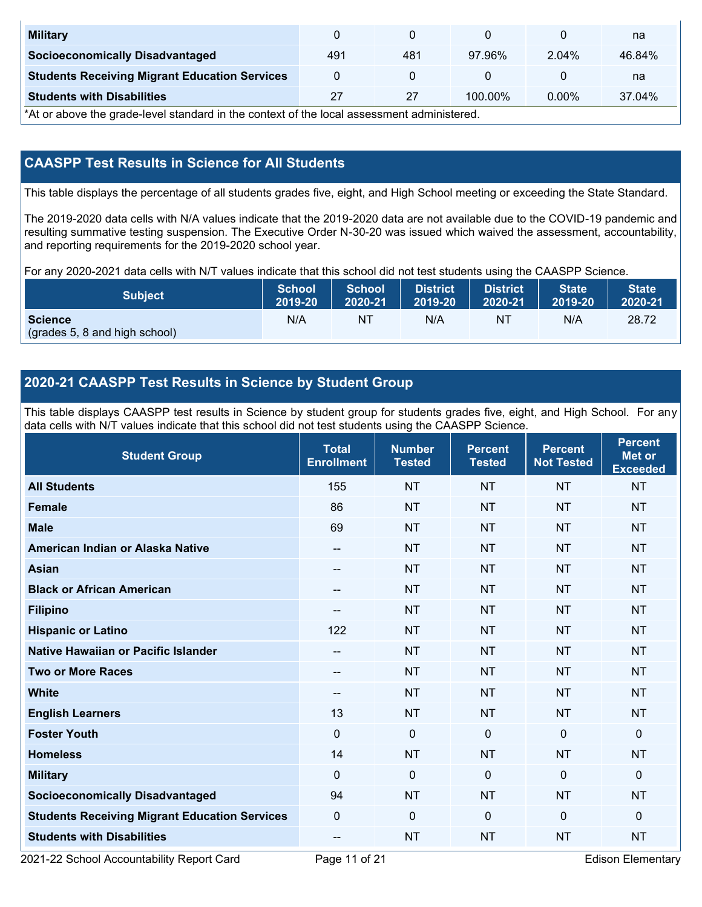| <b>Military</b>                                      |     |     |            |          | na     |
|------------------------------------------------------|-----|-----|------------|----------|--------|
| <b>Socioeconomically Disadvantaged</b>               | 491 | 481 | 97.96%     | $2.04\%$ | 46.84% |
| <b>Students Receiving Migrant Education Services</b> |     |     |            |          | na     |
| <b>Students with Disabilities</b>                    | 27  | 27  | $100.00\%$ | $0.00\%$ | 37.04% |

\*At or above the grade-level standard in the context of the local assessment administered.

#### **CAASPP Test Results in Science for All Students**

This table displays the percentage of all students grades five, eight, and High School meeting or exceeding the State Standard.

The 2019-2020 data cells with N/A values indicate that the 2019-2020 data are not available due to the COVID-19 pandemic and resulting summative testing suspension. The Executive Order N-30-20 was issued which waived the assessment, accountability, and reporting requirements for the 2019-2020 school year.

For any 2020-2021 data cells with N/T values indicate that this school did not test students using the CAASPP Science.

| <b>Subject</b>                                  | <b>School</b> | <b>School</b> | <b>District</b> | <b>District</b> | <b>State</b> | <b>State</b> |
|-------------------------------------------------|---------------|---------------|-----------------|-----------------|--------------|--------------|
|                                                 | 2019-20       | 2020-21       | 2019-20         | 2020-21         | 2019-20      | 2020-21      |
| <b>Science</b><br>(grades 5, 8 and high school) | N/A           | ΝT            | N/A             | N1              | N/A          | 28.72        |

#### **2020-21 CAASPP Test Results in Science by Student Group**

This table displays CAASPP test results in Science by student group for students grades five, eight, and High School. For any data cells with N/T values indicate that this school did not test students using the CAASPP Science.

| <b>Student Group</b>                                 | <b>Total</b><br><b>Enrollment</b> | <b>Number</b><br><b>Tested</b> | <b>Percent</b><br><b>Tested</b> | <b>Percent</b><br><b>Not Tested</b> | <b>Percent</b><br><b>Met or</b><br><b>Exceeded</b> |
|------------------------------------------------------|-----------------------------------|--------------------------------|---------------------------------|-------------------------------------|----------------------------------------------------|
| <b>All Students</b>                                  | 155                               | <b>NT</b>                      | <b>NT</b>                       | <b>NT</b>                           | <b>NT</b>                                          |
| <b>Female</b>                                        | 86                                | <b>NT</b>                      | <b>NT</b>                       | <b>NT</b>                           | <b>NT</b>                                          |
| <b>Male</b>                                          | 69                                | <b>NT</b>                      | <b>NT</b>                       | <b>NT</b>                           | <b>NT</b>                                          |
| American Indian or Alaska Native                     | --                                | <b>NT</b>                      | <b>NT</b>                       | <b>NT</b>                           | <b>NT</b>                                          |
| <b>Asian</b>                                         | --                                | <b>NT</b>                      | <b>NT</b>                       | <b>NT</b>                           | <b>NT</b>                                          |
| <b>Black or African American</b>                     | $\qquad \qquad -$                 | <b>NT</b>                      | <b>NT</b>                       | <b>NT</b>                           | <b>NT</b>                                          |
| <b>Filipino</b>                                      | $\qquad \qquad -$                 | <b>NT</b>                      | <b>NT</b>                       | <b>NT</b>                           | <b>NT</b>                                          |
| <b>Hispanic or Latino</b>                            | 122                               | <b>NT</b>                      | <b>NT</b>                       | <b>NT</b>                           | <b>NT</b>                                          |
| <b>Native Hawaiian or Pacific Islander</b>           | $-$                               | <b>NT</b>                      | <b>NT</b>                       | <b>NT</b>                           | <b>NT</b>                                          |
| <b>Two or More Races</b>                             | --                                | <b>NT</b>                      | <b>NT</b>                       | <b>NT</b>                           | <b>NT</b>                                          |
| <b>White</b>                                         | $\overline{\phantom{a}}$          | <b>NT</b>                      | <b>NT</b>                       | <b>NT</b>                           | <b>NT</b>                                          |
| <b>English Learners</b>                              | 13                                | <b>NT</b>                      | <b>NT</b>                       | <b>NT</b>                           | <b>NT</b>                                          |
| <b>Foster Youth</b>                                  | $\mathbf 0$                       | $\boldsymbol{0}$               | $\mathbf{0}$                    | $\mathbf 0$                         | 0                                                  |
| <b>Homeless</b>                                      | 14                                | <b>NT</b>                      | <b>NT</b>                       | <b>NT</b>                           | <b>NT</b>                                          |
| <b>Military</b>                                      | $\mathbf 0$                       | $\mathbf 0$                    | $\mathbf 0$                     | $\overline{0}$                      | 0                                                  |
| <b>Socioeconomically Disadvantaged</b>               | 94                                | <b>NT</b>                      | <b>NT</b>                       | <b>NT</b>                           | <b>NT</b>                                          |
| <b>Students Receiving Migrant Education Services</b> | $\Omega$                          | $\mathbf 0$                    | $\Omega$                        | $\mathbf{0}$                        | 0                                                  |
| <b>Students with Disabilities</b>                    | --                                | <b>NT</b>                      | <b>NT</b>                       | <b>NT</b>                           | <b>NT</b>                                          |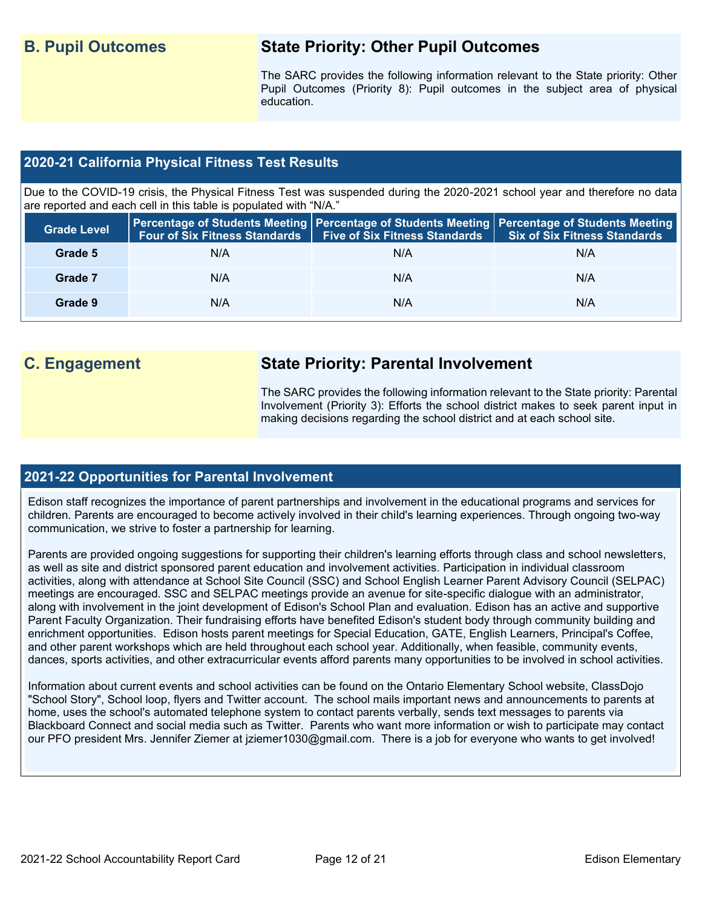### **B. Pupil Outcomes State Priority: Other Pupil Outcomes**

The SARC provides the following information relevant to the State priority: Other Pupil Outcomes (Priority 8): Pupil outcomes in the subject area of physical education.

#### **2020-21 California Physical Fitness Test Results**

Due to the COVID-19 crisis, the Physical Fitness Test was suspended during the 2020-2021 school year and therefore no data are reported and each cell in this table is populated with "N/A."

| <b>Grade Level</b> |     | Four of Six Fitness Standards   Five of Six Fitness Standards | <b>Percentage of Students Meeting   Percentage of Students Meeting   Percentage of Students Meeting  </b><br><b>Six of Six Fitness Standards</b> |
|--------------------|-----|---------------------------------------------------------------|--------------------------------------------------------------------------------------------------------------------------------------------------|
| Grade 5            | N/A | N/A                                                           | N/A                                                                                                                                              |
| Grade 7            | N/A | N/A                                                           | N/A                                                                                                                                              |
| Grade 9            | N/A | N/A                                                           | N/A                                                                                                                                              |

### **C. Engagement State Priority: Parental Involvement**

The SARC provides the following information relevant to the State priority: Parental Involvement (Priority 3): Efforts the school district makes to seek parent input in making decisions regarding the school district and at each school site.

#### **2021-22 Opportunities for Parental Involvement**

Edison staff recognizes the importance of parent partnerships and involvement in the educational programs and services for children. Parents are encouraged to become actively involved in their child's learning experiences. Through ongoing two-way communication, we strive to foster a partnership for learning.

Parents are provided ongoing suggestions for supporting their children's learning efforts through class and school newsletters, as well as site and district sponsored parent education and involvement activities. Participation in individual classroom activities, along with attendance at School Site Council (SSC) and School English Learner Parent Advisory Council (SELPAC) meetings are encouraged. SSC and SELPAC meetings provide an avenue for site-specific dialogue with an administrator, along with involvement in the joint development of Edison's School Plan and evaluation. Edison has an active and supportive Parent Faculty Organization. Their fundraising efforts have benefited Edison's student body through community building and enrichment opportunities. Edison hosts parent meetings for Special Education, GATE, English Learners, Principal's Coffee, and other parent workshops which are held throughout each school year. Additionally, when feasible, community events, dances, sports activities, and other extracurricular events afford parents many opportunities to be involved in school activities.

Information about current events and school activities can be found on the Ontario Elementary School website, ClassDojo "School Story", School loop, flyers and Twitter account. The school mails important news and announcements to parents at home, uses the school's automated telephone system to contact parents verbally, sends text messages to parents via Blackboard Connect and social media such as Twitter. Parents who want more information or wish to participate may contact our PFO president Mrs. Jennifer Ziemer at jziemer1030@gmail.com. There is a job for everyone who wants to get involved!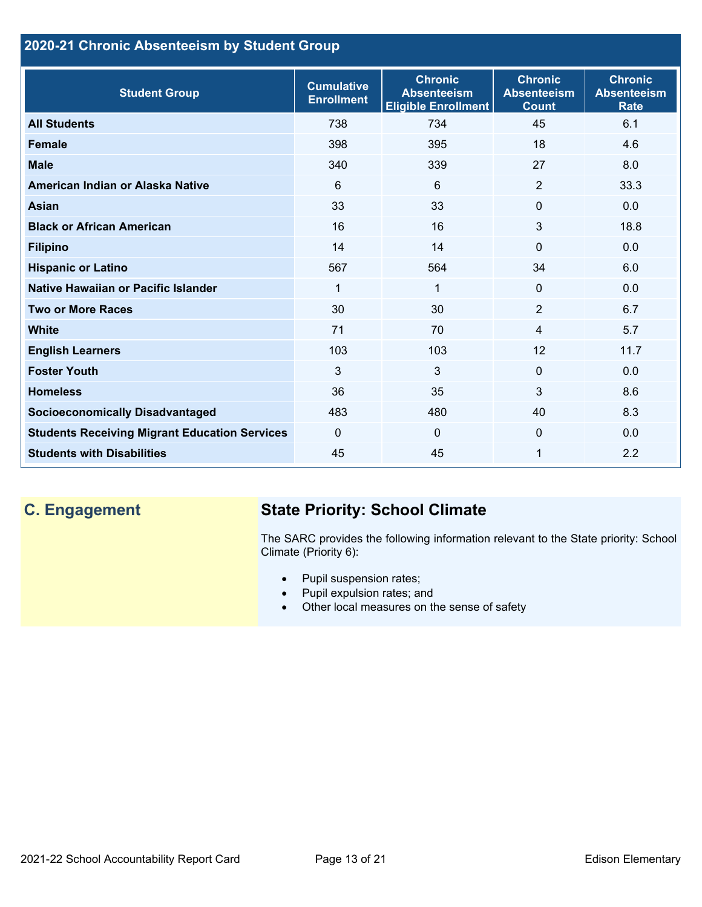### **2020-21 Chronic Absenteeism by Student Group**

| <b>Student Group</b>                                 | <b>Cumulative</b><br><b>Enrollment</b> | <b>Chronic</b><br><b>Absenteeism</b><br><b>Eligible Enrollment</b> | <b>Chronic</b><br><b>Absenteeism</b><br><b>Count</b> | <b>Chronic</b><br><b>Absenteeism</b><br><b>Rate</b> |
|------------------------------------------------------|----------------------------------------|--------------------------------------------------------------------|------------------------------------------------------|-----------------------------------------------------|
| <b>All Students</b>                                  | 738                                    | 734                                                                | 45                                                   | 6.1                                                 |
| <b>Female</b>                                        | 398                                    | 395                                                                | 18                                                   | 4.6                                                 |
| <b>Male</b>                                          | 340                                    | 339                                                                | 27                                                   | 8.0                                                 |
| American Indian or Alaska Native                     | 6                                      | 6                                                                  | 2                                                    | 33.3                                                |
| <b>Asian</b>                                         | 33                                     | 33                                                                 | $\mathbf 0$                                          | 0.0                                                 |
| <b>Black or African American</b>                     | 16                                     | 16                                                                 | 3                                                    | 18.8                                                |
| <b>Filipino</b>                                      | 14                                     | 14                                                                 | $\mathbf{0}$                                         | 0.0                                                 |
| <b>Hispanic or Latino</b>                            | 567                                    | 564                                                                | 34                                                   | 6.0                                                 |
| Native Hawaiian or Pacific Islander                  | 1                                      | 1                                                                  | $\mathbf 0$                                          | 0.0                                                 |
| <b>Two or More Races</b>                             | 30                                     | 30                                                                 | 2                                                    | 6.7                                                 |
| <b>White</b>                                         | 71                                     | 70                                                                 | 4                                                    | 5.7                                                 |
| <b>English Learners</b>                              | 103                                    | 103                                                                | 12                                                   | 11.7                                                |
| <b>Foster Youth</b>                                  | 3                                      | 3                                                                  | $\Omega$                                             | 0.0                                                 |
| <b>Homeless</b>                                      | 36                                     | 35                                                                 | $\mathbf{3}$                                         | 8.6                                                 |
| <b>Socioeconomically Disadvantaged</b>               | 483                                    | 480                                                                | 40                                                   | 8.3                                                 |
| <b>Students Receiving Migrant Education Services</b> | $\mathbf{0}$                           | $\mathbf 0$                                                        | $\mathbf{0}$                                         | 0.0                                                 |
| <b>Students with Disabilities</b>                    | 45                                     | 45                                                                 | 1                                                    | 2.2                                                 |

# **C. Engagement State Priority: School Climate**

The SARC provides the following information relevant to the State priority: School Climate (Priority 6):

- Pupil suspension rates;
- Pupil expulsion rates; and
- Other local measures on the sense of safety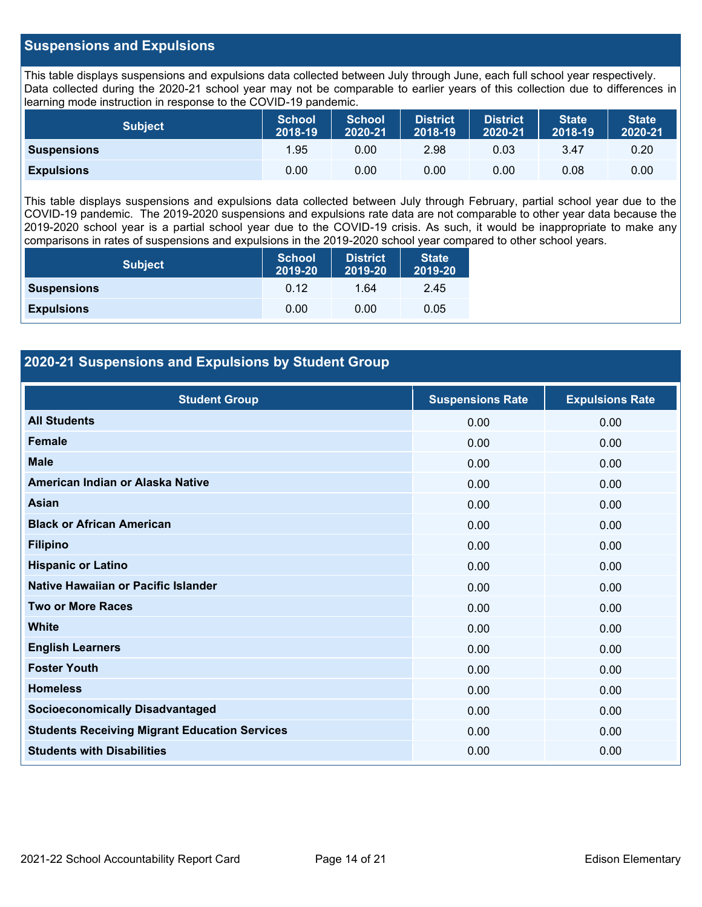#### **Suspensions and Expulsions**

This table displays suspensions and expulsions data collected between July through June, each full school year respectively. Data collected during the 2020-21 school year may not be comparable to earlier years of this collection due to differences in learning mode instruction in response to the COVID-19 pandemic.

| <b>Subject</b>     | <b>School</b><br>2018-19 | <b>School</b><br>2020-21 | <b>District</b><br>2018-19 | <b>District</b><br>2020-21 | <b>State</b><br>2018-19 | <b>State</b><br>2020-21 |
|--------------------|--------------------------|--------------------------|----------------------------|----------------------------|-------------------------|-------------------------|
| <b>Suspensions</b> | 1.95                     | 0.00                     | 2.98                       | 0.03                       | 3.47                    | 0.20                    |
| <b>Expulsions</b>  | 0.00                     | 0.00                     | 0.00                       | 0.00                       | 0.08                    | 0.00                    |

This table displays suspensions and expulsions data collected between July through February, partial school year due to the COVID-19 pandemic. The 2019-2020 suspensions and expulsions rate data are not comparable to other year data because the 2019-2020 school year is a partial school year due to the COVID-19 crisis. As such, it would be inappropriate to make any comparisons in rates of suspensions and expulsions in the 2019-2020 school year compared to other school years.

| <b>Subject</b>     | <b>School</b><br>2019-20 | <b>District</b><br>2019-20 | <b>State</b><br>2019-20 |
|--------------------|--------------------------|----------------------------|-------------------------|
| <b>Suspensions</b> | 0.12                     | 1.64                       | 2.45                    |
| <b>Expulsions</b>  | 0.00                     | 0.00                       | 0.05                    |

#### **2020-21 Suspensions and Expulsions by Student Group**

| <b>Student Group</b>                                 | <b>Suspensions Rate</b> | <b>Expulsions Rate</b> |
|------------------------------------------------------|-------------------------|------------------------|
| <b>All Students</b>                                  | 0.00                    | 0.00                   |
| <b>Female</b>                                        | 0.00                    | 0.00                   |
| <b>Male</b>                                          | 0.00                    | 0.00                   |
| American Indian or Alaska Native                     | 0.00                    | 0.00                   |
| <b>Asian</b>                                         | 0.00                    | 0.00                   |
| <b>Black or African American</b>                     | 0.00                    | 0.00                   |
| <b>Filipino</b>                                      | 0.00                    | 0.00                   |
| <b>Hispanic or Latino</b>                            | 0.00                    | 0.00                   |
| Native Hawaiian or Pacific Islander                  | 0.00                    | 0.00                   |
| <b>Two or More Races</b>                             | 0.00                    | 0.00                   |
| <b>White</b>                                         | 0.00                    | 0.00                   |
| <b>English Learners</b>                              | 0.00                    | 0.00                   |
| <b>Foster Youth</b>                                  | 0.00                    | 0.00                   |
| <b>Homeless</b>                                      | 0.00                    | 0.00                   |
| <b>Socioeconomically Disadvantaged</b>               | 0.00                    | 0.00                   |
| <b>Students Receiving Migrant Education Services</b> | 0.00                    | 0.00                   |
| <b>Students with Disabilities</b>                    | 0.00                    | 0.00                   |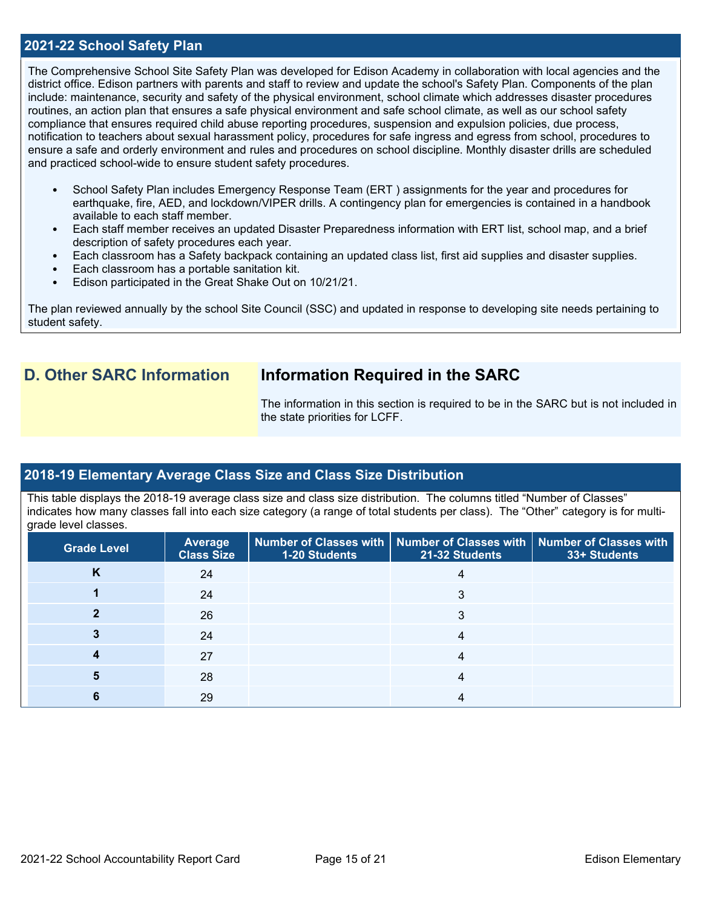#### **2021-22 School Safety Plan**

The Comprehensive School Site Safety Plan was developed for Edison Academy in collaboration with local agencies and the district office. Edison partners with parents and staff to review and update the school's Safety Plan. Components of the plan include: maintenance, security and safety of the physical environment, school climate which addresses disaster procedures routines, an action plan that ensures a safe physical environment and safe school climate, as well as our school safety compliance that ensures required child abuse reporting procedures, suspension and expulsion policies, due process, notification to teachers about sexual harassment policy, procedures for safe ingress and egress from school, procedures to ensure a safe and orderly environment and rules and procedures on school discipline. Monthly disaster drills are scheduled and practiced school-wide to ensure student safety procedures.

- School Safety Plan includes Emergency Response Team (ERT ) assignments for the year and procedures for earthquake, fire, AED, and lockdown/VIPER drills. A contingency plan for emergencies is contained in a handbook available to each staff member.
- Each staff member receives an updated Disaster Preparedness information with ERT list, school map, and a brief description of safety procedures each year.
- Each classroom has a Safety backpack containing an updated class list, first aid supplies and disaster supplies.
- Each classroom has a portable sanitation kit.
- Edison participated in the Great Shake Out on 10/21/21.

The plan reviewed annually by the school Site Council (SSC) and updated in response to developing site needs pertaining to student safety.

## **D. Other SARC Information Information Required in the SARC**

The information in this section is required to be in the SARC but is not included in the state priorities for LCFF.

#### **2018-19 Elementary Average Class Size and Class Size Distribution**

This table displays the 2018-19 average class size and class size distribution. The columns titled "Number of Classes" indicates how many classes fall into each size category (a range of total students per class). The "Other" category is for multigrade level classes.

| <b>Grade Level</b> | Average<br><b>Class Size</b> | <b>1-20 Students</b> | Number of Classes with   Number of Classes with   Number of Classes with<br>21-32 Students | 33+ Students |
|--------------------|------------------------------|----------------------|--------------------------------------------------------------------------------------------|--------------|
| K                  | 24                           |                      |                                                                                            |              |
|                    | 24                           |                      | 3                                                                                          |              |
|                    | 26                           |                      | 3                                                                                          |              |
|                    | 24                           |                      | 4                                                                                          |              |
|                    | 27                           |                      | 4                                                                                          |              |
|                    | 28                           |                      |                                                                                            |              |
|                    | 29                           |                      |                                                                                            |              |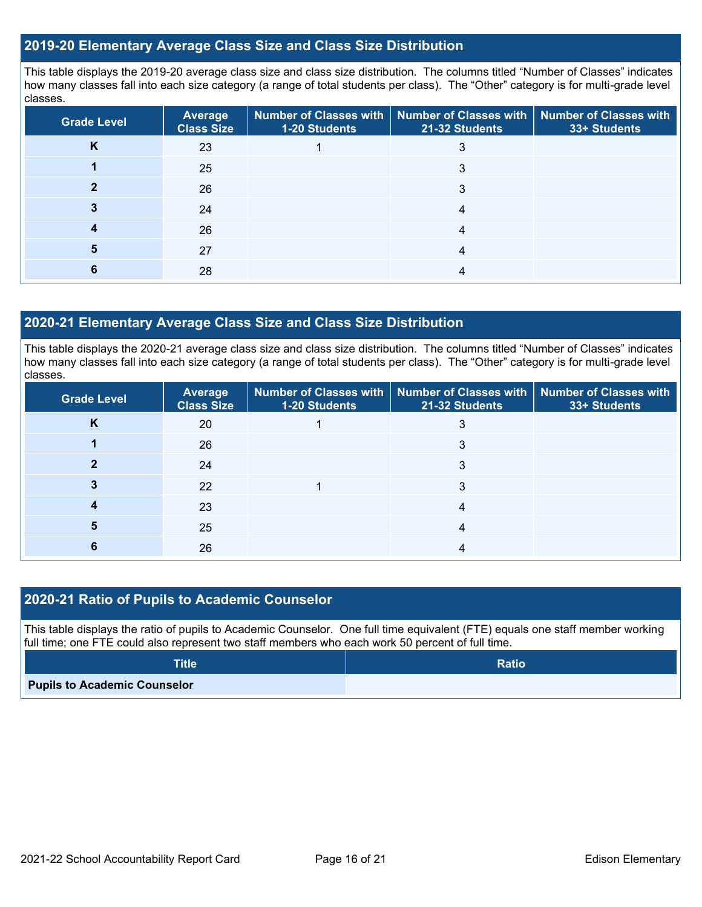#### **2019-20 Elementary Average Class Size and Class Size Distribution**

This table displays the 2019-20 average class size and class size distribution. The columns titled "Number of Classes" indicates how many classes fall into each size category (a range of total students per class). The "Other" category is for multi-grade level classes.

| <b>Grade Level</b> | <b>Average</b><br><b>Class Size</b> | 1-20 Students | Number of Classes with   Number of Classes with   Number of Classes with<br>21-32 Students | 33+ Students |
|--------------------|-------------------------------------|---------------|--------------------------------------------------------------------------------------------|--------------|
| n.                 | 23                                  |               | J.                                                                                         |              |
|                    | 25                                  |               | 3                                                                                          |              |
|                    | 26                                  |               | 3                                                                                          |              |
|                    | 24                                  |               | 4                                                                                          |              |
|                    | 26                                  |               | 4                                                                                          |              |
|                    | 27                                  |               | 4                                                                                          |              |
|                    | 28                                  |               |                                                                                            |              |

#### **2020-21 Elementary Average Class Size and Class Size Distribution**

This table displays the 2020-21 average class size and class size distribution. The columns titled "Number of Classes" indicates how many classes fall into each size category (a range of total students per class). The "Other" category is for multi-grade level classes.

| <b>Grade Level</b> | <b>Average</b><br><b>Class Size</b> | 1-20 Students | Number of Classes with   Number of Classes with   Number of Classes with<br>21-32 Students | 33+ Students |
|--------------------|-------------------------------------|---------------|--------------------------------------------------------------------------------------------|--------------|
| Κ                  | 20                                  |               |                                                                                            |              |
|                    | 26                                  |               | 3                                                                                          |              |
|                    | 24                                  |               | 3                                                                                          |              |
|                    | 22                                  |               | 3                                                                                          |              |
|                    | 23                                  |               | 4                                                                                          |              |
|                    | 25                                  |               | 4                                                                                          |              |
|                    | 26                                  |               |                                                                                            |              |

#### **2020-21 Ratio of Pupils to Academic Counselor**

This table displays the ratio of pupils to Academic Counselor. One full time equivalent (FTE) equals one staff member working full time; one FTE could also represent two staff members who each work 50 percent of full time.

| <b>Title</b>                        | <b>Ratio</b> |
|-------------------------------------|--------------|
| <b>Pupils to Academic Counselor</b> |              |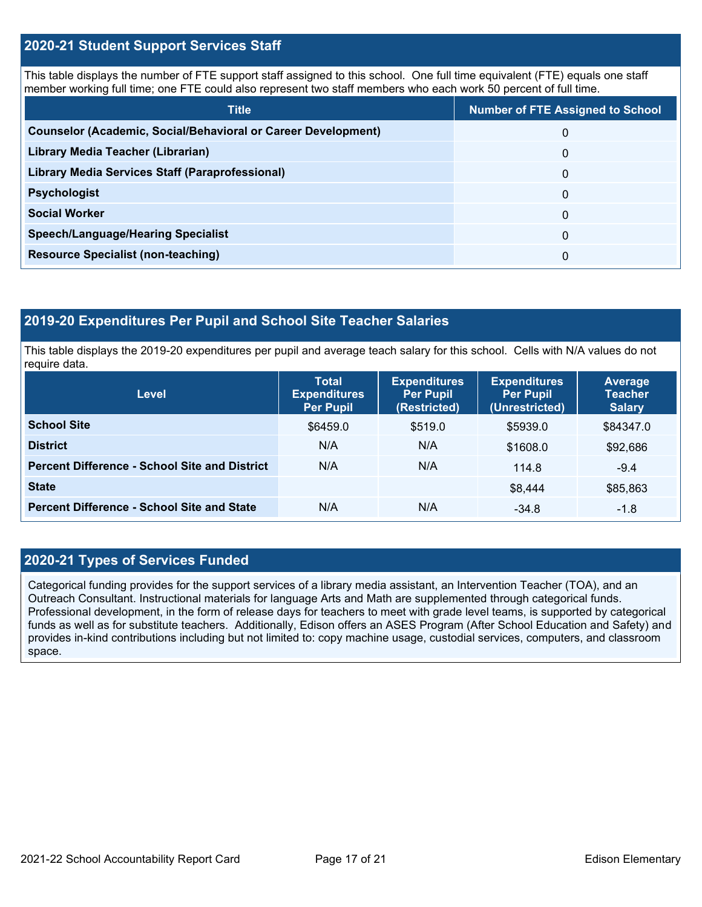#### **2020-21 Student Support Services Staff**

This table displays the number of FTE support staff assigned to this school. One full time equivalent (FTE) equals one staff member working full time; one FTE could also represent two staff members who each work 50 percent of full time.

| <b>Title</b>                                                         | <b>Number of FTE Assigned to School</b> |
|----------------------------------------------------------------------|-----------------------------------------|
| <b>Counselor (Academic, Social/Behavioral or Career Development)</b> | 0                                       |
| Library Media Teacher (Librarian)                                    | 0                                       |
| Library Media Services Staff (Paraprofessional)                      | 0                                       |
| <b>Psychologist</b>                                                  | 0                                       |
| <b>Social Worker</b>                                                 | $\Omega$                                |
| <b>Speech/Language/Hearing Specialist</b>                            | 0                                       |
| <b>Resource Specialist (non-teaching)</b>                            | 0                                       |

#### **2019-20 Expenditures Per Pupil and School Site Teacher Salaries**

This table displays the 2019-20 expenditures per pupil and average teach salary for this school. Cells with N/A values do not require data.

| <b>Level</b>                                         | <b>Total</b><br><b>Expenditures</b><br><b>Per Pupil</b> | <b>Expenditures</b><br><b>Per Pupil</b><br>(Restricted) | <b>Expenditures</b><br><b>Per Pupil</b><br>(Unrestricted) | Average<br><b>Teacher</b><br><b>Salary</b> |
|------------------------------------------------------|---------------------------------------------------------|---------------------------------------------------------|-----------------------------------------------------------|--------------------------------------------|
| <b>School Site</b>                                   | \$6459.0                                                | \$519.0                                                 | \$5939.0                                                  | \$84347.0                                  |
| <b>District</b>                                      | N/A                                                     | N/A                                                     | \$1608.0                                                  | \$92,686                                   |
| <b>Percent Difference - School Site and District</b> | N/A                                                     | N/A                                                     | 114.8                                                     | $-9.4$                                     |
| <b>State</b>                                         |                                                         |                                                         | \$8,444                                                   | \$85,863                                   |
| <b>Percent Difference - School Site and State</b>    | N/A                                                     | N/A                                                     | $-34.8$                                                   | $-1.8$                                     |

#### **2020-21 Types of Services Funded**

Categorical funding provides for the support services of a library media assistant, an Intervention Teacher (TOA), and an Outreach Consultant. Instructional materials for language Arts and Math are supplemented through categorical funds. Professional development, in the form of release days for teachers to meet with grade level teams, is supported by categorical funds as well as for substitute teachers. Additionally, Edison offers an ASES Program (After School Education and Safety) and provides in-kind contributions including but not limited to: copy machine usage, custodial services, computers, and classroom space.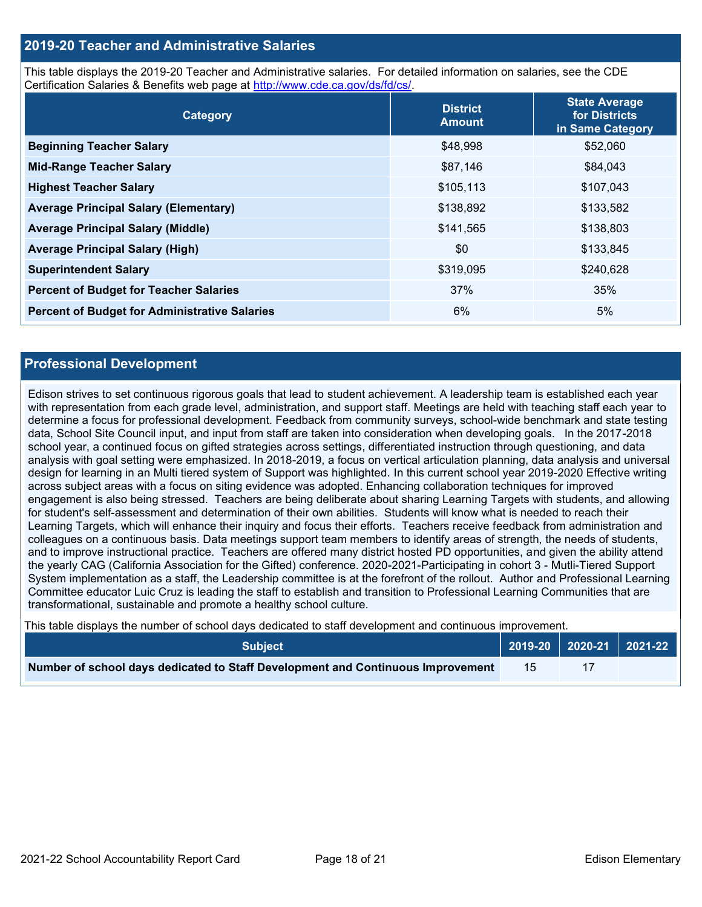#### **2019-20 Teacher and Administrative Salaries**

This table displays the 2019-20 Teacher and Administrative salaries. For detailed information on salaries, see the CDE Certification Salaries & Benefits web page at [http://www.cde.ca.gov/ds/fd/cs/.](http://www.cde.ca.gov/ds/fd/cs/)

| Category                                             | <b>District</b><br><b>Amount</b> | <b>State Average</b><br>for Districts<br>in Same Category |
|------------------------------------------------------|----------------------------------|-----------------------------------------------------------|
| <b>Beginning Teacher Salary</b>                      | \$48,998                         | \$52,060                                                  |
| <b>Mid-Range Teacher Salary</b>                      | \$87,146                         | \$84,043                                                  |
| <b>Highest Teacher Salary</b>                        | \$105,113                        | \$107,043                                                 |
| <b>Average Principal Salary (Elementary)</b>         | \$138,892                        | \$133,582                                                 |
| <b>Average Principal Salary (Middle)</b>             | \$141,565                        | \$138,803                                                 |
| <b>Average Principal Salary (High)</b>               | \$0                              | \$133,845                                                 |
| <b>Superintendent Salary</b>                         | \$319,095                        | \$240,628                                                 |
| <b>Percent of Budget for Teacher Salaries</b>        | 37%                              | 35%                                                       |
| <b>Percent of Budget for Administrative Salaries</b> | 6%                               | 5%                                                        |

#### **Professional Development**

Edison strives to set continuous rigorous goals that lead to student achievement. A leadership team is established each year with representation from each grade level, administration, and support staff. Meetings are held with teaching staff each year to determine a focus for professional development. Feedback from community surveys, school-wide benchmark and state testing data, School Site Council input, and input from staff are taken into consideration when developing goals. In the 2017-2018 school year, a continued focus on gifted strategies across settings, differentiated instruction through questioning, and data analysis with goal setting were emphasized. In 2018-2019, a focus on vertical articulation planning, data analysis and universal design for learning in an Multi tiered system of Support was highlighted. In this current school year 2019-2020 Effective writing across subject areas with a focus on siting evidence was adopted. Enhancing collaboration techniques for improved engagement is also being stressed. Teachers are being deliberate about sharing Learning Targets with students, and allowing for student's self-assessment and determination of their own abilities. Students will know what is needed to reach their Learning Targets, which will enhance their inquiry and focus their efforts. Teachers receive feedback from administration and colleagues on a continuous basis. Data meetings support team members to identify areas of strength, the needs of students, and to improve instructional practice. Teachers are offered many district hosted PD opportunities, and given the ability attend the yearly CAG (California Association for the Gifted) conference. 2020-2021-Participating in cohort 3 - Mutli-Tiered Support System implementation as a staff, the Leadership committee is at the forefront of the rollout. Author and Professional Learning Committee educator Luic Cruz is leading the staff to establish and transition to Professional Learning Communities that are transformational, sustainable and promote a healthy school culture.

This table displays the number of school days dedicated to staff development and continuous improvement.

| <b>Subject</b>                                                                  |    | $\vert$ 2019-20 $\vert$ 2020-21 $\vert$ 2021-22 |  |
|---------------------------------------------------------------------------------|----|-------------------------------------------------|--|
| Number of school days dedicated to Staff Development and Continuous Improvement | 15 |                                                 |  |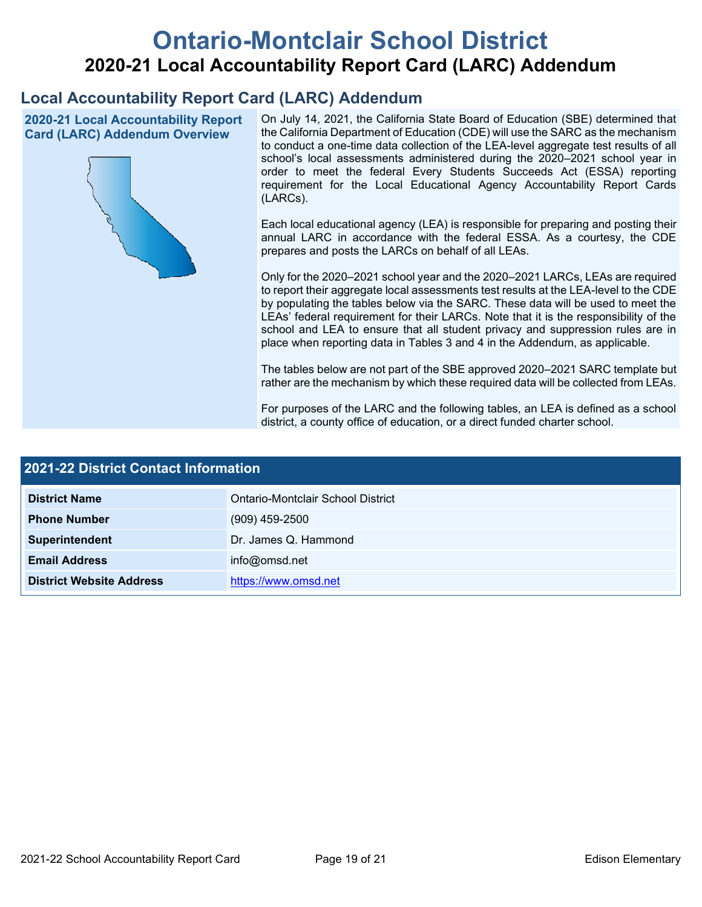# **Ontario-Montclair School District 2020-21 Local Accountability Report Card (LARC) Addendum**

## **Local Accountability Report Card (LARC) Addendum**

**2020-21 Local Accountability Report Card (LARC) Addendum Overview**



On July 14, 2021, the California State Board of Education (SBE) determined that the California Department of Education (CDE) will use the SARC as the mechanism to conduct a one-time data collection of the LEA-level aggregate test results of all school's local assessments administered during the 2020–2021 school year in order to meet the federal Every Students Succeeds Act (ESSA) reporting requirement for the Local Educational Agency Accountability Report Cards (LARCs).

Each local educational agency (LEA) is responsible for preparing and posting their annual LARC in accordance with the federal ESSA. As a courtesy, the CDE prepares and posts the LARCs on behalf of all LEAs.

Only for the 2020–2021 school year and the 2020–2021 LARCs, LEAs are required to report their aggregate local assessments test results at the LEA-level to the CDE by populating the tables below via the SARC. These data will be used to meet the LEAs' federal requirement for their LARCs. Note that it is the responsibility of the school and LEA to ensure that all student privacy and suppression rules are in place when reporting data in Tables 3 and 4 in the Addendum, as applicable.

The tables below are not part of the SBE approved 2020–2021 SARC template but rather are the mechanism by which these required data will be collected from LEAs.

For purposes of the LARC and the following tables, an LEA is defined as a school district, a county office of education, or a direct funded charter school.

| 2021-22 District Contact Information |                                   |  |
|--------------------------------------|-----------------------------------|--|
| <b>District Name</b>                 | Ontario-Montclair School District |  |
| <b>Phone Number</b>                  | $(909)$ 459-2500                  |  |
| Superintendent                       | Dr. James Q. Hammond              |  |
| <b>Email Address</b>                 | info@omsd.net                     |  |
| <b>District Website Address</b>      | https://www.omsd.net              |  |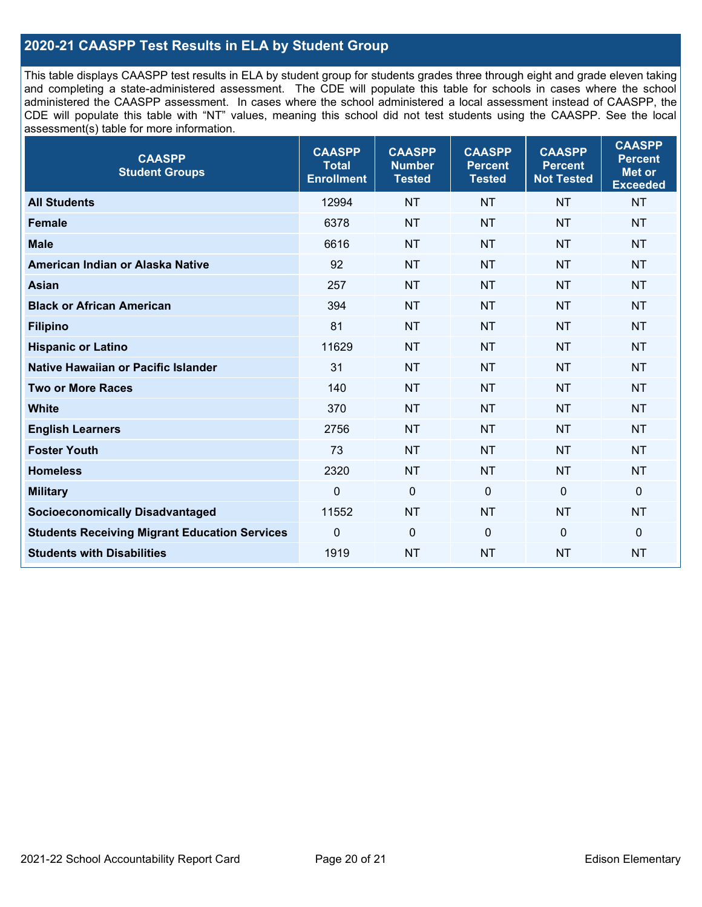#### **2020-21 CAASPP Test Results in ELA by Student Group**

This table displays CAASPP test results in ELA by student group for students grades three through eight and grade eleven taking and completing a state-administered assessment. The CDE will populate this table for schools in cases where the school administered the CAASPP assessment. In cases where the school administered a local assessment instead of CAASPP, the CDE will populate this table with "NT" values, meaning this school did not test students using the CAASPP. See the local assessment(s) table for more information.

| <b>CAASPP</b><br><b>Student Groups</b>               | <b>CAASPP</b><br><b>Total</b><br><b>Enrollment</b> | <b>CAASPP</b><br><b>Number</b><br><b>Tested</b> | <b>CAASPP</b><br><b>Percent</b><br><b>Tested</b> | <b>CAASPP</b><br><b>Percent</b><br><b>Not Tested</b> | <b>CAASPP</b><br><b>Percent</b><br>Met or<br><b>Exceeded</b> |
|------------------------------------------------------|----------------------------------------------------|-------------------------------------------------|--------------------------------------------------|------------------------------------------------------|--------------------------------------------------------------|
| <b>All Students</b>                                  | 12994                                              | <b>NT</b>                                       | <b>NT</b>                                        | <b>NT</b>                                            | <b>NT</b>                                                    |
| <b>Female</b>                                        | 6378                                               | <b>NT</b>                                       | <b>NT</b>                                        | <b>NT</b>                                            | <b>NT</b>                                                    |
| <b>Male</b>                                          | 6616                                               | <b>NT</b>                                       | <b>NT</b>                                        | <b>NT</b>                                            | <b>NT</b>                                                    |
| American Indian or Alaska Native                     | 92                                                 | <b>NT</b>                                       | <b>NT</b>                                        | <b>NT</b>                                            | <b>NT</b>                                                    |
| <b>Asian</b>                                         | 257                                                | <b>NT</b>                                       | <b>NT</b>                                        | <b>NT</b>                                            | <b>NT</b>                                                    |
| <b>Black or African American</b>                     | 394                                                | <b>NT</b>                                       | <b>NT</b>                                        | <b>NT</b>                                            | NT                                                           |
| <b>Filipino</b>                                      | 81                                                 | <b>NT</b>                                       | <b>NT</b>                                        | <b>NT</b>                                            | <b>NT</b>                                                    |
| <b>Hispanic or Latino</b>                            | 11629                                              | <b>NT</b>                                       | <b>NT</b>                                        | <b>NT</b>                                            | <b>NT</b>                                                    |
| <b>Native Hawaiian or Pacific Islander</b>           | 31                                                 | <b>NT</b>                                       | <b>NT</b>                                        | <b>NT</b>                                            | <b>NT</b>                                                    |
| <b>Two or More Races</b>                             | 140                                                | <b>NT</b>                                       | <b>NT</b>                                        | <b>NT</b>                                            | <b>NT</b>                                                    |
| <b>White</b>                                         | 370                                                | <b>NT</b>                                       | <b>NT</b>                                        | <b>NT</b>                                            | <b>NT</b>                                                    |
| <b>English Learners</b>                              | 2756                                               | <b>NT</b>                                       | <b>NT</b>                                        | <b>NT</b>                                            | <b>NT</b>                                                    |
| <b>Foster Youth</b>                                  | 73                                                 | <b>NT</b>                                       | <b>NT</b>                                        | <b>NT</b>                                            | <b>NT</b>                                                    |
| <b>Homeless</b>                                      | 2320                                               | <b>NT</b>                                       | <b>NT</b>                                        | <b>NT</b>                                            | <b>NT</b>                                                    |
| <b>Military</b>                                      | $\mathbf 0$                                        | $\mathbf 0$                                     | $\mathbf 0$                                      | $\mathbf 0$                                          | 0                                                            |
| <b>Socioeconomically Disadvantaged</b>               | 11552                                              | <b>NT</b>                                       | <b>NT</b>                                        | <b>NT</b>                                            | <b>NT</b>                                                    |
| <b>Students Receiving Migrant Education Services</b> | $\Omega$                                           | $\mathbf 0$                                     | $\mathbf{0}$                                     | $\Omega$                                             | 0                                                            |
| <b>Students with Disabilities</b>                    | 1919                                               | <b>NT</b>                                       | <b>NT</b>                                        | <b>NT</b>                                            | <b>NT</b>                                                    |